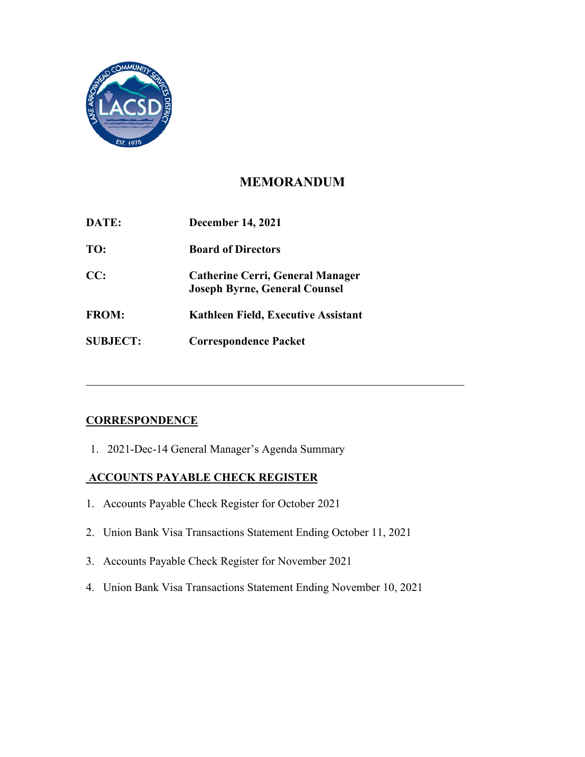

## **MEMORANDUM**

| DATE:           | <b>December 14, 2021</b>                                                        |
|-----------------|---------------------------------------------------------------------------------|
| TO:             | <b>Board of Directors</b>                                                       |
| CC:             | <b>Catherine Cerri, General Manager</b><br><b>Joseph Byrne, General Counsel</b> |
| <b>FROM:</b>    | Kathleen Field, Executive Assistant                                             |
| <b>SUBJECT:</b> | <b>Correspondence Packet</b>                                                    |

## **CORRESPONDENCE**

1. 2021-Dec-14 General Manager's Agenda Summary

### **ACCOUNTS PAYABLE CHECK REGISTER**

- 1. Accounts Payable Check Register for October 2021
- 2. Union Bank Visa Transactions Statement Ending October 11, 2021
- 3. Accounts Payable Check Register for November 2021
- 4. Union Bank Visa Transactions Statement Ending November 10, 2021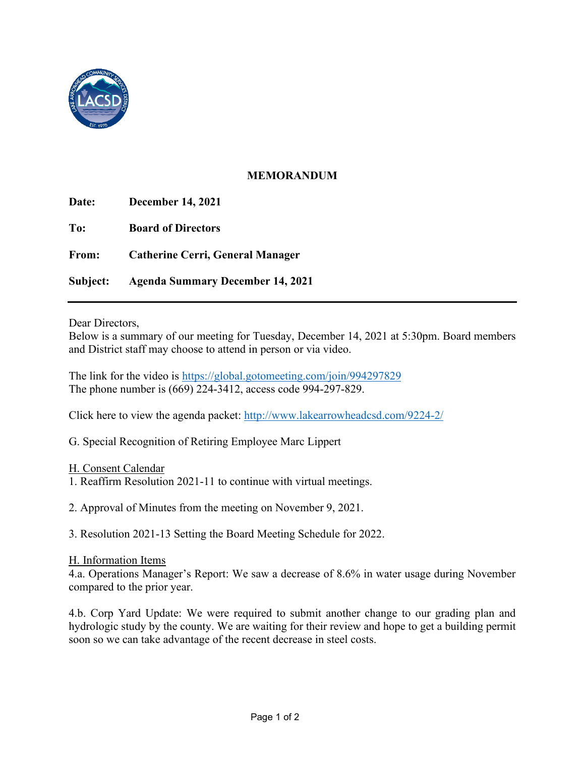

### **MEMORANDUM**

| Date:    | <b>December 14, 2021</b>                |
|----------|-----------------------------------------|
| To:      | <b>Board of Directors</b>               |
| From:    | <b>Catherine Cerri, General Manager</b> |
| Subject: | <b>Agenda Summary December 14, 2021</b> |

Dear Directors,

 Below is a summary of our meeting for Tuesday, December 14, 2021 at 5:30pm. Board members and District staff may choose to attend in person or via video.

The link for the video is<https://global.gotomeeting.com/join/994297829> The phone number is (669) 224-3412, access code 994-297-829.

Click here to view the agenda packet:<http://www.lakearrowheadcsd.com/9224-2/>

G. Special Recognition of Retiring Employee Marc Lippert

- H. Consent Calendar
- 1. Reaffirm Resolution 2021-11 to continue with virtual meetings.
- 2. Approval of Minutes from the meeting on November 9, 2021.

3. Resolution 2021-13 Setting the Board Meeting Schedule for 2022.

#### H. Information Items

 4.a. Operations Manager's Report: We saw a decrease of 8.6% in water usage during November compared to the prior year.

 hydrologic study by the county. We are waiting for their review and hope to get a building permit 4.b. Corp Yard Update: We were required to submit another change to our grading plan and soon so we can take advantage of the recent decrease in steel costs.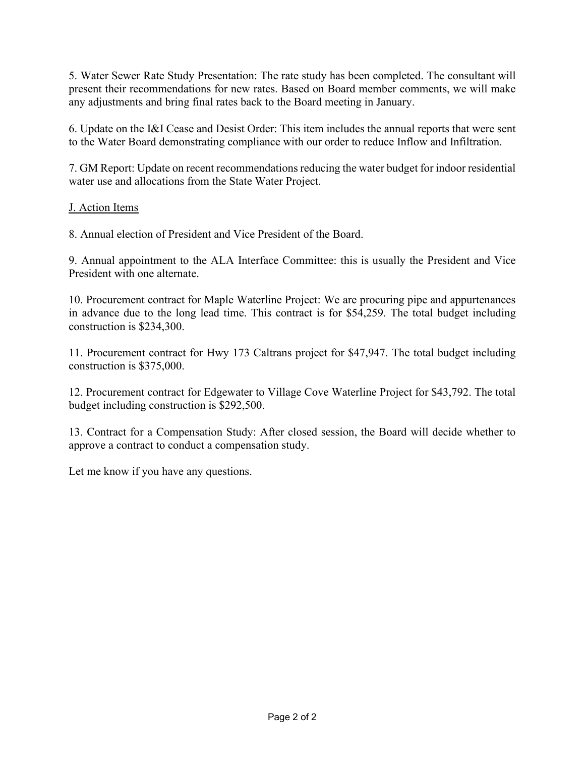5. Water Sewer Rate Study Presentation: The rate study has been completed. The consultant will present their recommendations for new rates. Based on Board member comments, we will make any adjustments and bring final rates back to the Board meeting in January.

6. Update on the I&I Cease and Desist Order: This item includes the annual reports that were sent to the Water Board demonstrating compliance with our order to reduce Inflow and Infiltration.

7. GM Report: Update on recent recommendations reducing the water budget for indoor residential water use and allocations from the State Water Project.

### J. Action Items

8. Annual election of President and Vice President of the Board.

9. Annual appointment to the ALA Interface Committee: this is usually the President and Vice President with one alternate.

10. Procurement contract for Maple Waterline Project: We are procuring pipe and appurtenances in advance due to the long lead time. This contract is for \$54,259. The total budget including construction is \$234,300.

construction is \$375,000. 11. Procurement contract for Hwy 173 Caltrans project for \$47,947. The total budget including

12. Procurement contract for Edgewater to Village Cove Waterline Project for \$43,792. The total budget including construction is \$292,500.

 13. Contract for a Compensation Study: After closed session, the Board will decide whether to approve a contract to conduct a compensation study.

Let me know if you have any questions.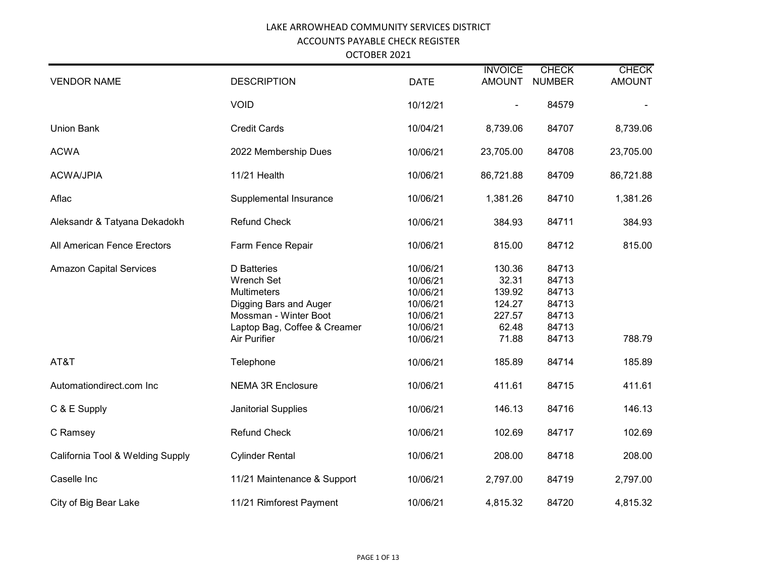OCTOBER 2021

| <b>VENDOR NAME</b>               | <b>DESCRIPTION</b>                                                                                                                                        | <b>DATE</b>                                                                      | <b>INVOICE</b><br><b>AMOUNT</b>                                 | <b>CHECK</b><br><b>NUMBER</b>                               | <b>CHECK</b><br><b>AMOUNT</b> |
|----------------------------------|-----------------------------------------------------------------------------------------------------------------------------------------------------------|----------------------------------------------------------------------------------|-----------------------------------------------------------------|-------------------------------------------------------------|-------------------------------|
|                                  | <b>VOID</b>                                                                                                                                               | 10/12/21                                                                         |                                                                 | 84579                                                       |                               |
| <b>Union Bank</b>                | <b>Credit Cards</b>                                                                                                                                       | 10/04/21                                                                         | 8,739.06                                                        | 84707                                                       | 8,739.06                      |
| <b>ACWA</b>                      | 2022 Membership Dues                                                                                                                                      | 10/06/21                                                                         | 23,705.00                                                       | 84708                                                       | 23,705.00                     |
| <b>ACWA/JPIA</b>                 | 11/21 Health                                                                                                                                              | 10/06/21                                                                         | 86,721.88                                                       | 84709                                                       | 86,721.88                     |
| Aflac                            | Supplemental Insurance                                                                                                                                    | 10/06/21                                                                         | 1,381.26                                                        | 84710                                                       | 1,381.26                      |
| Aleksandr & Tatyana Dekadokh     | <b>Refund Check</b>                                                                                                                                       | 10/06/21                                                                         | 384.93                                                          | 84711                                                       | 384.93                        |
| All American Fence Erectors      | Farm Fence Repair                                                                                                                                         | 10/06/21                                                                         | 815.00                                                          | 84712                                                       | 815.00                        |
| <b>Amazon Capital Services</b>   | <b>D</b> Batteries<br><b>Wrench Set</b><br>Multimeters<br>Digging Bars and Auger<br>Mossman - Winter Boot<br>Laptop Bag, Coffee & Creamer<br>Air Purifier | 10/06/21<br>10/06/21<br>10/06/21<br>10/06/21<br>10/06/21<br>10/06/21<br>10/06/21 | 130.36<br>32.31<br>139.92<br>124.27<br>227.57<br>62.48<br>71.88 | 84713<br>84713<br>84713<br>84713<br>84713<br>84713<br>84713 | 788.79                        |
| AT&T                             | Telephone                                                                                                                                                 | 10/06/21                                                                         | 185.89                                                          | 84714                                                       | 185.89                        |
| Automationdirect.com Inc         | <b>NEMA 3R Enclosure</b>                                                                                                                                  | 10/06/21                                                                         | 411.61                                                          | 84715                                                       | 411.61                        |
| C & E Supply                     | Janitorial Supplies                                                                                                                                       | 10/06/21                                                                         | 146.13                                                          | 84716                                                       | 146.13                        |
| C Ramsey                         | <b>Refund Check</b>                                                                                                                                       | 10/06/21                                                                         | 102.69                                                          | 84717                                                       | 102.69                        |
| California Tool & Welding Supply | <b>Cylinder Rental</b>                                                                                                                                    | 10/06/21                                                                         | 208.00                                                          | 84718                                                       | 208.00                        |
| Caselle Inc                      | 11/21 Maintenance & Support                                                                                                                               | 10/06/21                                                                         | 2,797.00                                                        | 84719                                                       | 2,797.00                      |
| City of Big Bear Lake            | 11/21 Rimforest Payment                                                                                                                                   | 10/06/21                                                                         | 4,815.32                                                        | 84720                                                       | 4,815.32                      |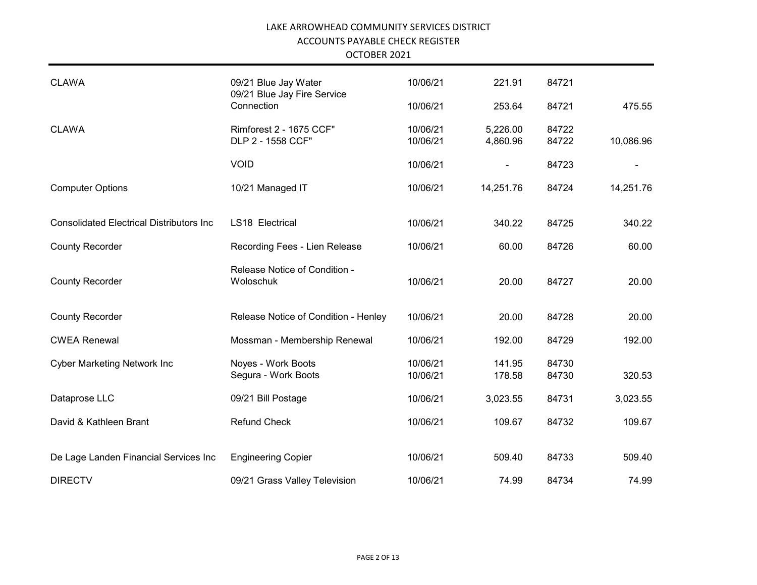OCTOBER 2021

| <b>CLAWA</b>                                    | 09/21 Blue Jay Water                         | 10/06/21             | 221.91               | 84721          |           |
|-------------------------------------------------|----------------------------------------------|----------------------|----------------------|----------------|-----------|
|                                                 | 09/21 Blue Jay Fire Service<br>Connection    | 10/06/21             | 253.64               | 84721          | 475.55    |
| <b>CLAWA</b>                                    | Rimforest 2 - 1675 CCF"<br>DLP 2 - 1558 CCF" | 10/06/21<br>10/06/21 | 5,226.00<br>4,860.96 | 84722<br>84722 | 10,086.96 |
|                                                 | <b>VOID</b>                                  | 10/06/21             | $\blacksquare$       | 84723          |           |
| <b>Computer Options</b>                         | 10/21 Managed IT                             | 10/06/21             | 14,251.76            | 84724          | 14,251.76 |
| <b>Consolidated Electrical Distributors Inc</b> | LS18 Electrical                              | 10/06/21             | 340.22               | 84725          | 340.22    |
| <b>County Recorder</b>                          | Recording Fees - Lien Release                | 10/06/21             | 60.00                | 84726          | 60.00     |
| <b>County Recorder</b>                          | Release Notice of Condition -<br>Woloschuk   | 10/06/21             | 20.00                | 84727          | 20.00     |
| <b>County Recorder</b>                          | Release Notice of Condition - Henley         | 10/06/21             | 20.00                | 84728          | 20.00     |
| <b>CWEA Renewal</b>                             | Mossman - Membership Renewal                 | 10/06/21             | 192.00               | 84729          | 192.00    |
| <b>Cyber Marketing Network Inc</b>              | Noyes - Work Boots<br>Segura - Work Boots    | 10/06/21<br>10/06/21 | 141.95<br>178.58     | 84730<br>84730 | 320.53    |
| Dataprose LLC                                   | 09/21 Bill Postage                           | 10/06/21             | 3,023.55             | 84731          | 3,023.55  |
| David & Kathleen Brant                          | <b>Refund Check</b>                          | 10/06/21             | 109.67               | 84732          | 109.67    |
| De Lage Landen Financial Services Inc           | <b>Engineering Copier</b>                    | 10/06/21             | 509.40               | 84733          | 509.40    |
| <b>DIRECTV</b>                                  | 09/21 Grass Valley Television                | 10/06/21             | 74.99                | 84734          | 74.99     |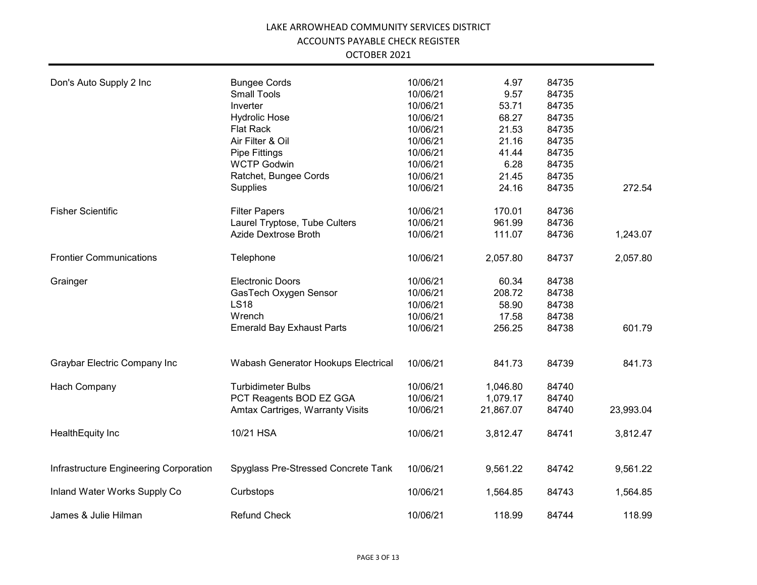| OCTOBER 2021 |  |
|--------------|--|
|              |  |

| Don's Auto Supply 2 Inc                | <b>Bungee Cords</b>                 | 10/06/21 | 4.97      | 84735 |           |
|----------------------------------------|-------------------------------------|----------|-----------|-------|-----------|
|                                        | <b>Small Tools</b>                  | 10/06/21 | 9.57      | 84735 |           |
|                                        | Inverter                            | 10/06/21 | 53.71     | 84735 |           |
|                                        | <b>Hydrolic Hose</b>                | 10/06/21 | 68.27     | 84735 |           |
|                                        | <b>Flat Rack</b>                    | 10/06/21 | 21.53     | 84735 |           |
|                                        | Air Filter & Oil                    | 10/06/21 | 21.16     | 84735 |           |
|                                        | Pipe Fittings                       | 10/06/21 | 41.44     | 84735 |           |
|                                        | <b>WCTP Godwin</b>                  | 10/06/21 | 6.28      | 84735 |           |
|                                        | Ratchet, Bungee Cords               | 10/06/21 | 21.45     | 84735 |           |
|                                        | Supplies                            | 10/06/21 | 24.16     | 84735 | 272.54    |
| <b>Fisher Scientific</b>               | <b>Filter Papers</b>                | 10/06/21 | 170.01    | 84736 |           |
|                                        | Laurel Tryptose, Tube Culters       | 10/06/21 | 961.99    | 84736 |           |
|                                        | Azide Dextrose Broth                | 10/06/21 | 111.07    | 84736 | 1,243.07  |
| <b>Frontier Communications</b>         | Telephone                           | 10/06/21 | 2,057.80  | 84737 | 2,057.80  |
| Grainger                               | <b>Electronic Doors</b>             | 10/06/21 | 60.34     | 84738 |           |
|                                        | GasTech Oxygen Sensor               | 10/06/21 | 208.72    | 84738 |           |
|                                        | <b>LS18</b>                         | 10/06/21 | 58.90     | 84738 |           |
|                                        | Wrench                              | 10/06/21 | 17.58     | 84738 |           |
|                                        | <b>Emerald Bay Exhaust Parts</b>    | 10/06/21 | 256.25    | 84738 | 601.79    |
|                                        |                                     |          |           |       |           |
| Graybar Electric Company Inc           | Wabash Generator Hookups Electrical | 10/06/21 | 841.73    | 84739 | 841.73    |
| Hach Company                           | <b>Turbidimeter Bulbs</b>           | 10/06/21 | 1,046.80  | 84740 |           |
|                                        | PCT Reagents BOD EZ GGA             | 10/06/21 | 1,079.17  | 84740 |           |
|                                        | Amtax Cartriges, Warranty Visits    | 10/06/21 | 21,867.07 | 84740 | 23,993.04 |
| HealthEquity Inc                       | 10/21 HSA                           | 10/06/21 | 3,812.47  | 84741 | 3,812.47  |
| Infrastructure Engineering Corporation | Spyglass Pre-Stressed Concrete Tank | 10/06/21 | 9,561.22  | 84742 | 9,561.22  |
| Inland Water Works Supply Co           | Curbstops                           | 10/06/21 | 1,564.85  | 84743 | 1,564.85  |
| James & Julie Hilman                   | <b>Refund Check</b>                 | 10/06/21 | 118.99    | 84744 | 118.99    |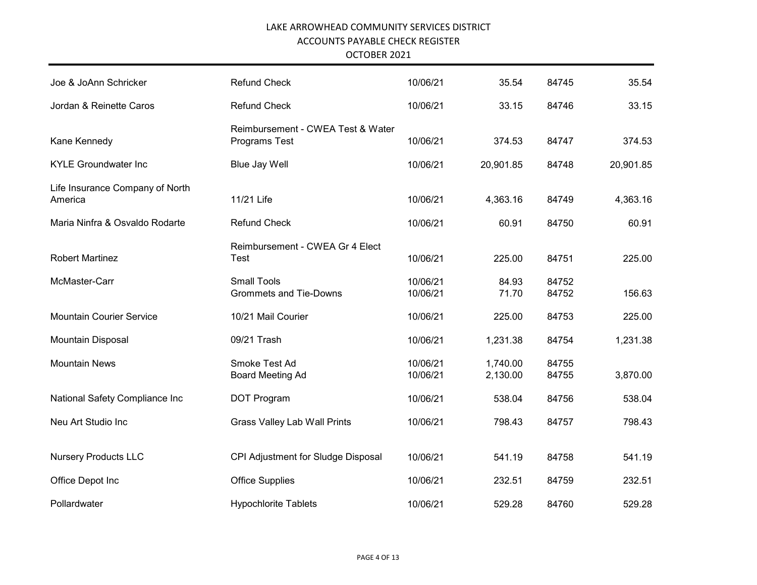| Joe & JoAnn Schricker                      | <b>Refund Check</b>                                 | 10/06/21             | 35.54                | 84745          | 35.54     |
|--------------------------------------------|-----------------------------------------------------|----------------------|----------------------|----------------|-----------|
| Jordan & Reinette Caros                    | <b>Refund Check</b>                                 | 10/06/21             | 33.15                | 84746          | 33.15     |
| Kane Kennedy                               | Reimbursement - CWEA Test & Water<br>Programs Test  | 10/06/21             | 374.53               | 84747          | 374.53    |
| <b>KYLE Groundwater Inc</b>                | <b>Blue Jay Well</b>                                | 10/06/21             | 20,901.85            | 84748          | 20,901.85 |
| Life Insurance Company of North<br>America | 11/21 Life                                          | 10/06/21             | 4,363.16             | 84749          | 4,363.16  |
| Maria Ninfra & Osvaldo Rodarte             | <b>Refund Check</b>                                 | 10/06/21             | 60.91                | 84750          | 60.91     |
| <b>Robert Martinez</b>                     | Reimbursement - CWEA Gr 4 Elect<br><b>Test</b>      | 10/06/21             | 225.00               | 84751          | 225.00    |
| McMaster-Carr                              | <b>Small Tools</b><br><b>Grommets and Tie-Downs</b> | 10/06/21<br>10/06/21 | 84.93<br>71.70       | 84752<br>84752 | 156.63    |
| <b>Mountain Courier Service</b>            | 10/21 Mail Courier                                  | 10/06/21             | 225.00               | 84753          | 225.00    |
| Mountain Disposal                          | 09/21 Trash                                         | 10/06/21             | 1,231.38             | 84754          | 1,231.38  |
| <b>Mountain News</b>                       | Smoke Test Ad<br><b>Board Meeting Ad</b>            | 10/06/21<br>10/06/21 | 1,740.00<br>2,130.00 | 84755<br>84755 | 3,870.00  |
| National Safety Compliance Inc             | DOT Program                                         | 10/06/21             | 538.04               | 84756          | 538.04    |
| Neu Art Studio Inc                         | <b>Grass Valley Lab Wall Prints</b>                 | 10/06/21             | 798.43               | 84757          | 798.43    |
| <b>Nursery Products LLC</b>                | CPI Adjustment for Sludge Disposal                  | 10/06/21             | 541.19               | 84758          | 541.19    |
| Office Depot Inc                           | <b>Office Supplies</b>                              | 10/06/21             | 232.51               | 84759          | 232.51    |
| Pollardwater                               | <b>Hypochlorite Tablets</b>                         | 10/06/21             | 529.28               | 84760          | 529.28    |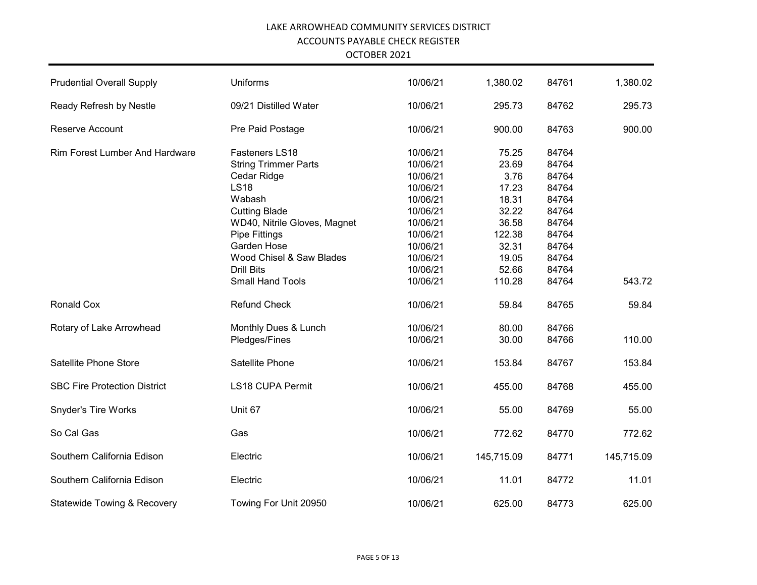| <b>Prudential Overall Supply</b>       | <b>Uniforms</b>              | 10/06/21 | 1,380.02   | 84761 | 1,380.02   |
|----------------------------------------|------------------------------|----------|------------|-------|------------|
| Ready Refresh by Nestle                | 09/21 Distilled Water        | 10/06/21 | 295.73     | 84762 | 295.73     |
| Reserve Account                        | Pre Paid Postage             | 10/06/21 | 900.00     | 84763 | 900.00     |
| <b>Rim Forest Lumber And Hardware</b>  | Fasteners LS18               | 10/06/21 | 75.25      | 84764 |            |
|                                        | <b>String Trimmer Parts</b>  | 10/06/21 | 23.69      | 84764 |            |
|                                        | Cedar Ridge                  | 10/06/21 | 3.76       | 84764 |            |
|                                        | <b>LS18</b>                  | 10/06/21 | 17.23      | 84764 |            |
|                                        | Wabash                       | 10/06/21 | 18.31      | 84764 |            |
|                                        | <b>Cutting Blade</b>         | 10/06/21 | 32.22      | 84764 |            |
|                                        | WD40, Nitrile Gloves, Magnet | 10/06/21 | 36.58      | 84764 |            |
|                                        | Pipe Fittings                | 10/06/21 | 122.38     | 84764 |            |
|                                        | Garden Hose                  | 10/06/21 | 32.31      | 84764 |            |
|                                        | Wood Chisel & Saw Blades     | 10/06/21 | 19.05      | 84764 |            |
|                                        | <b>Drill Bits</b>            | 10/06/21 | 52.66      | 84764 |            |
|                                        | <b>Small Hand Tools</b>      | 10/06/21 | 110.28     | 84764 | 543.72     |
|                                        |                              |          |            |       |            |
| <b>Ronald Cox</b>                      | <b>Refund Check</b>          | 10/06/21 | 59.84      | 84765 | 59.84      |
| Rotary of Lake Arrowhead               | Monthly Dues & Lunch         | 10/06/21 | 80.00      | 84766 |            |
|                                        | Pledges/Fines                | 10/06/21 | 30.00      | 84766 | 110.00     |
| Satellite Phone Store                  | Satellite Phone              | 10/06/21 | 153.84     | 84767 | 153.84     |
| <b>SBC Fire Protection District</b>    | <b>LS18 CUPA Permit</b>      | 10/06/21 | 455.00     | 84768 | 455.00     |
| <b>Snyder's Tire Works</b>             | Unit 67                      | 10/06/21 | 55.00      | 84769 | 55.00      |
| So Cal Gas                             | Gas                          | 10/06/21 | 772.62     | 84770 | 772.62     |
| Southern California Edison             | Electric                     | 10/06/21 | 145,715.09 | 84771 | 145,715.09 |
| Southern California Edison             | Electric                     | 10/06/21 | 11.01      | 84772 | 11.01      |
|                                        |                              |          |            |       |            |
| <b>Statewide Towing &amp; Recovery</b> | Towing For Unit 20950        | 10/06/21 | 625.00     | 84773 | 625.00     |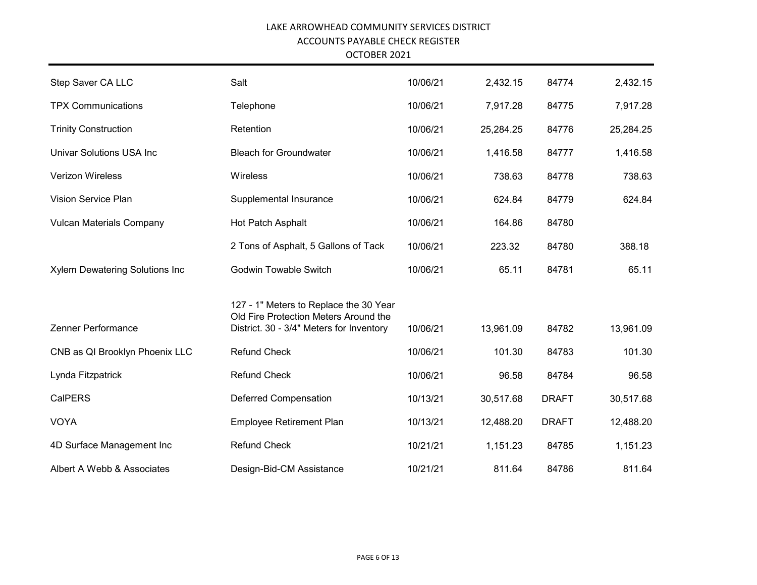OCTOBER 2021

| Step Saver CA LLC                     | Salt                                                                            | 10/06/21 | 2,432.15  | 84774        | 2,432.15  |
|---------------------------------------|---------------------------------------------------------------------------------|----------|-----------|--------------|-----------|
| <b>TPX Communications</b>             | Telephone                                                                       | 10/06/21 | 7,917.28  | 84775        | 7,917.28  |
| <b>Trinity Construction</b>           | Retention                                                                       | 10/06/21 | 25,284.25 | 84776        | 25,284.25 |
| <b>Univar Solutions USA Inc</b>       | <b>Bleach for Groundwater</b>                                                   | 10/06/21 | 1,416.58  | 84777        | 1,416.58  |
| <b>Verizon Wireless</b>               | Wireless                                                                        | 10/06/21 | 738.63    | 84778        | 738.63    |
| Vision Service Plan                   | Supplemental Insurance                                                          | 10/06/21 | 624.84    | 84779        | 624.84    |
| <b>Vulcan Materials Company</b>       | Hot Patch Asphalt                                                               | 10/06/21 | 164.86    | 84780        |           |
|                                       | 2 Tons of Asphalt, 5 Gallons of Tack                                            | 10/06/21 | 223.32    | 84780        | 388.18    |
| <b>Xylem Dewatering Solutions Inc</b> | <b>Godwin Towable Switch</b>                                                    | 10/06/21 | 65.11     | 84781        | 65.11     |
|                                       | 127 - 1" Meters to Replace the 30 Year<br>Old Fire Protection Meters Around the |          |           |              |           |
| Zenner Performance                    | District. 30 - 3/4" Meters for Inventory                                        | 10/06/21 | 13,961.09 | 84782        | 13,961.09 |
| CNB as QI Brooklyn Phoenix LLC        | <b>Refund Check</b>                                                             | 10/06/21 | 101.30    | 84783        | 101.30    |
| Lynda Fitzpatrick                     | <b>Refund Check</b>                                                             | 10/06/21 | 96.58     | 84784        | 96.58     |
| <b>CalPERS</b>                        | <b>Deferred Compensation</b>                                                    | 10/13/21 | 30,517.68 | <b>DRAFT</b> | 30,517.68 |
| <b>VOYA</b>                           | Employee Retirement Plan                                                        | 10/13/21 | 12,488.20 | <b>DRAFT</b> | 12,488.20 |
| 4D Surface Management Inc             | <b>Refund Check</b>                                                             | 10/21/21 | 1,151.23  | 84785        | 1,151.23  |
| Albert A Webb & Associates            | Design-Bid-CM Assistance                                                        | 10/21/21 | 811.64    | 84786        | 811.64    |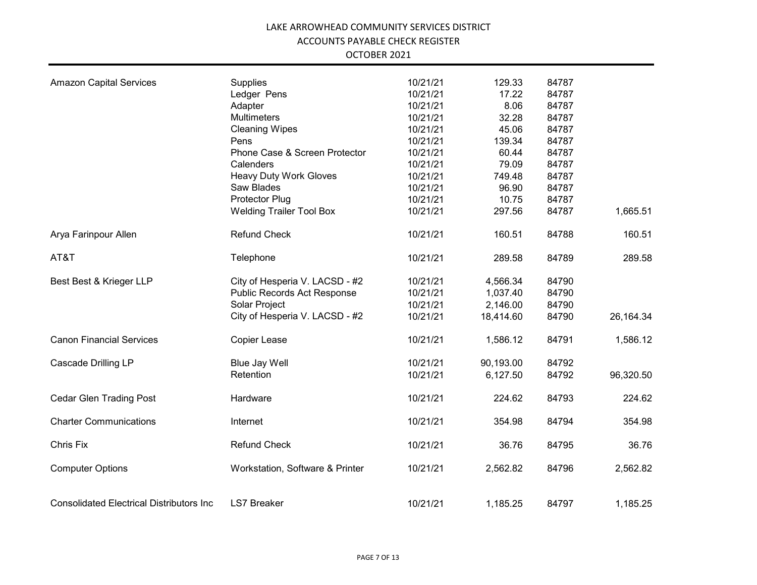| <b>Amazon Capital Services</b>                   | Supplies                        | 10/21/21 | 129.33    | 84787 |           |
|--------------------------------------------------|---------------------------------|----------|-----------|-------|-----------|
|                                                  | Ledger Pens                     | 10/21/21 | 17.22     | 84787 |           |
|                                                  | Adapter                         | 10/21/21 | 8.06      | 84787 |           |
|                                                  | Multimeters                     | 10/21/21 | 32.28     | 84787 |           |
|                                                  | <b>Cleaning Wipes</b>           | 10/21/21 | 45.06     | 84787 |           |
|                                                  | Pens                            | 10/21/21 | 139.34    | 84787 |           |
|                                                  | Phone Case & Screen Protector   | 10/21/21 | 60.44     | 84787 |           |
|                                                  | Calenders                       | 10/21/21 | 79.09     | 84787 |           |
|                                                  | <b>Heavy Duty Work Gloves</b>   | 10/21/21 | 749.48    | 84787 |           |
|                                                  | Saw Blades                      | 10/21/21 | 96.90     | 84787 |           |
|                                                  | Protector Plug                  | 10/21/21 | 10.75     | 84787 |           |
|                                                  | <b>Welding Trailer Tool Box</b> | 10/21/21 | 297.56    | 84787 | 1,665.51  |
| Arya Farinpour Allen                             | <b>Refund Check</b>             | 10/21/21 | 160.51    | 84788 | 160.51    |
| AT&T                                             | Telephone                       | 10/21/21 | 289.58    | 84789 | 289.58    |
| Best Best & Krieger LLP                          | City of Hesperia V. LACSD - #2  | 10/21/21 | 4,566.34  | 84790 |           |
|                                                  | Public Records Act Response     | 10/21/21 | 1,037.40  | 84790 |           |
|                                                  | Solar Project                   | 10/21/21 | 2,146.00  | 84790 |           |
|                                                  | City of Hesperia V. LACSD - #2  | 10/21/21 | 18,414.60 | 84790 | 26,164.34 |
| <b>Canon Financial Services</b>                  | Copier Lease                    | 10/21/21 | 1,586.12  | 84791 | 1,586.12  |
| <b>Cascade Drilling LP</b>                       | <b>Blue Jay Well</b>            | 10/21/21 | 90,193.00 | 84792 |           |
|                                                  | Retention                       | 10/21/21 | 6,127.50  | 84792 | 96,320.50 |
| <b>Cedar Glen Trading Post</b>                   | Hardware                        | 10/21/21 | 224.62    | 84793 | 224.62    |
| <b>Charter Communications</b>                    | Internet                        | 10/21/21 | 354.98    | 84794 | 354.98    |
| Chris Fix                                        | <b>Refund Check</b>             | 10/21/21 | 36.76     | 84795 | 36.76     |
| <b>Computer Options</b>                          | Workstation, Software & Printer | 10/21/21 | 2,562.82  | 84796 | 2,562.82  |
| <b>Consolidated Electrical Distributors Inc.</b> | <b>LS7 Breaker</b>              | 10/21/21 | 1,185.25  | 84797 | 1,185.25  |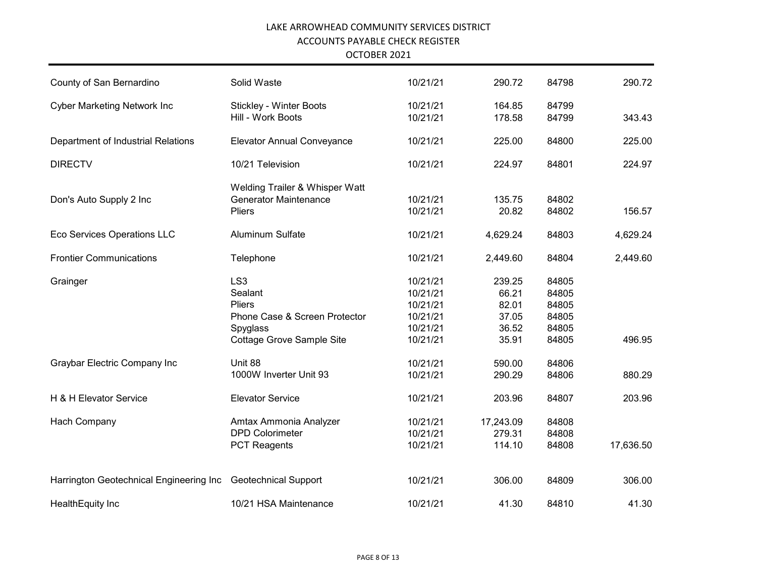| County of San Bernardino                | Solid Waste                                                                                                           | 10/21/21                                                             | 290.72                                              | 84798                                              | 290.72    |
|-----------------------------------------|-----------------------------------------------------------------------------------------------------------------------|----------------------------------------------------------------------|-----------------------------------------------------|----------------------------------------------------|-----------|
| <b>Cyber Marketing Network Inc</b>      | <b>Stickley - Winter Boots</b><br>Hill - Work Boots                                                                   | 10/21/21<br>10/21/21                                                 | 164.85<br>178.58                                    | 84799<br>84799                                     | 343.43    |
| Department of Industrial Relations      | <b>Elevator Annual Conveyance</b>                                                                                     | 10/21/21                                                             | 225.00                                              | 84800                                              | 225.00    |
| <b>DIRECTV</b>                          | 10/21 Television                                                                                                      | 10/21/21                                                             | 224.97                                              | 84801                                              | 224.97    |
| Don's Auto Supply 2 Inc                 | Welding Trailer & Whisper Watt<br><b>Generator Maintenance</b><br><b>Pliers</b>                                       | 10/21/21<br>10/21/21                                                 | 135.75<br>20.82                                     | 84802<br>84802                                     | 156.57    |
| Eco Services Operations LLC             | <b>Aluminum Sulfate</b>                                                                                               | 10/21/21                                                             | 4,629.24                                            | 84803                                              | 4,629.24  |
| <b>Frontier Communications</b>          | Telephone                                                                                                             | 10/21/21                                                             | 2,449.60                                            | 84804                                              | 2,449.60  |
| Grainger                                | LS <sub>3</sub><br>Sealant<br><b>Pliers</b><br>Phone Case & Screen Protector<br>Spyglass<br>Cottage Grove Sample Site | 10/21/21<br>10/21/21<br>10/21/21<br>10/21/21<br>10/21/21<br>10/21/21 | 239.25<br>66.21<br>82.01<br>37.05<br>36.52<br>35.91 | 84805<br>84805<br>84805<br>84805<br>84805<br>84805 | 496.95    |
| Graybar Electric Company Inc            | Unit 88<br>1000W Inverter Unit 93                                                                                     | 10/21/21<br>10/21/21                                                 | 590.00<br>290.29                                    | 84806<br>84806                                     | 880.29    |
| H & H Elevator Service                  | <b>Elevator Service</b>                                                                                               | 10/21/21                                                             | 203.96                                              | 84807                                              | 203.96    |
| Hach Company                            | Amtax Ammonia Analyzer<br><b>DPD Colorimeter</b><br><b>PCT Reagents</b>                                               | 10/21/21<br>10/21/21<br>10/21/21                                     | 17,243.09<br>279.31<br>114.10                       | 84808<br>84808<br>84808                            | 17,636.50 |
| Harrington Geotechnical Engineering Inc | <b>Geotechnical Support</b>                                                                                           | 10/21/21                                                             | 306.00                                              | 84809                                              | 306.00    |
| Health Equity Inc                       | 10/21 HSA Maintenance                                                                                                 | 10/21/21                                                             | 41.30                                               | 84810                                              | 41.30     |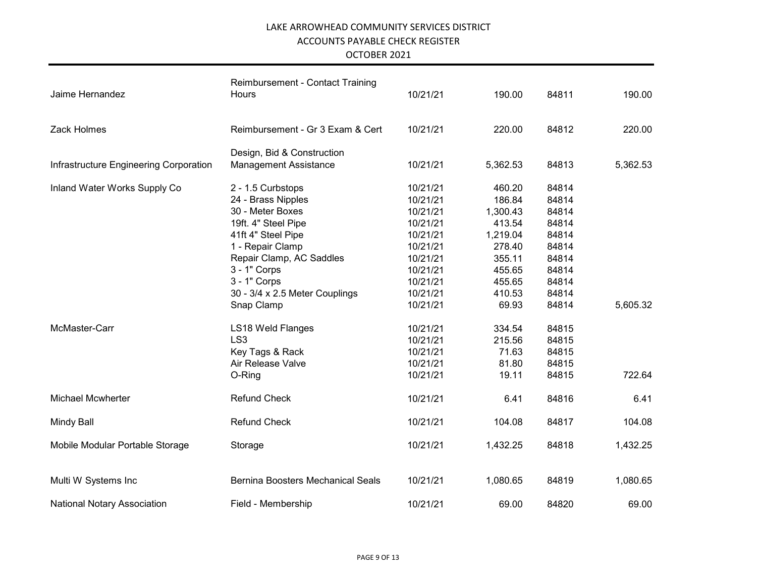| Jaime Hernandez                        | <b>Reimbursement - Contact Training</b><br>Hours | 10/21/21 | 190.00   | 84811 | 190.00   |
|----------------------------------------|--------------------------------------------------|----------|----------|-------|----------|
| Zack Holmes                            | Reimbursement - Gr 3 Exam & Cert                 | 10/21/21 | 220.00   | 84812 | 220.00   |
|                                        | Design, Bid & Construction                       |          |          |       |          |
| Infrastructure Engineering Corporation | <b>Management Assistance</b>                     | 10/21/21 | 5,362.53 | 84813 | 5,362.53 |
| Inland Water Works Supply Co           | 2 - 1.5 Curbstops                                | 10/21/21 | 460.20   | 84814 |          |
|                                        | 24 - Brass Nipples                               | 10/21/21 | 186.84   | 84814 |          |
|                                        | 30 - Meter Boxes                                 | 10/21/21 | 1,300.43 | 84814 |          |
|                                        | 19ft. 4" Steel Pipe                              | 10/21/21 | 413.54   | 84814 |          |
|                                        | 41ft 4" Steel Pipe                               | 10/21/21 | 1,219.04 | 84814 |          |
|                                        | 1 - Repair Clamp                                 | 10/21/21 | 278.40   | 84814 |          |
|                                        | Repair Clamp, AC Saddles                         | 10/21/21 | 355.11   | 84814 |          |
|                                        | 3 - 1" Corps                                     | 10/21/21 | 455.65   | 84814 |          |
|                                        | 3 - 1" Corps                                     | 10/21/21 | 455.65   | 84814 |          |
|                                        | 30 - 3/4 x 2.5 Meter Couplings                   | 10/21/21 | 410.53   | 84814 |          |
|                                        | Snap Clamp                                       | 10/21/21 | 69.93    | 84814 | 5,605.32 |
| McMaster-Carr                          | LS18 Weld Flanges                                | 10/21/21 | 334.54   | 84815 |          |
|                                        | LS <sub>3</sub>                                  | 10/21/21 | 215.56   | 84815 |          |
|                                        | Key Tags & Rack                                  | 10/21/21 | 71.63    | 84815 |          |
|                                        | Air Release Valve                                | 10/21/21 | 81.80    | 84815 |          |
|                                        | O-Ring                                           | 10/21/21 | 19.11    | 84815 | 722.64   |
| <b>Michael Mcwherter</b>               | <b>Refund Check</b>                              | 10/21/21 | 6.41     | 84816 | 6.41     |
| <b>Mindy Ball</b>                      | <b>Refund Check</b>                              | 10/21/21 | 104.08   | 84817 | 104.08   |
| Mobile Modular Portable Storage        | Storage                                          | 10/21/21 | 1,432.25 | 84818 | 1,432.25 |
| Multi W Systems Inc                    | <b>Bernina Boosters Mechanical Seals</b>         | 10/21/21 | 1,080.65 | 84819 | 1,080.65 |
| <b>National Notary Association</b>     | Field - Membership                               | 10/21/21 | 69.00    | 84820 | 69.00    |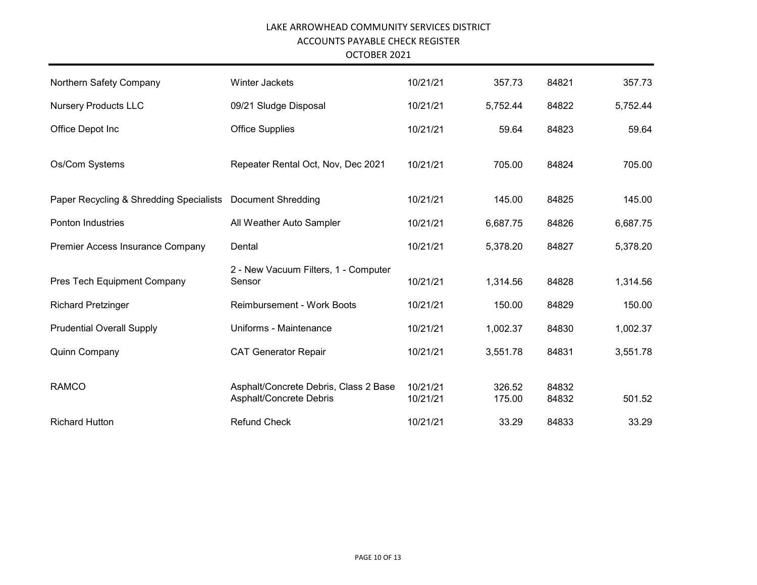| Northern Safety Company                 | <b>Winter Jackets</b>                                            | 10/21/21             | 357.73           | 84821          | 357.73   |
|-----------------------------------------|------------------------------------------------------------------|----------------------|------------------|----------------|----------|
| <b>Nursery Products LLC</b>             | 09/21 Sludge Disposal                                            | 10/21/21             | 5,752.44         | 84822          | 5,752.44 |
| Office Depot Inc                        | <b>Office Supplies</b>                                           | 10/21/21             | 59.64            | 84823          | 59.64    |
| Os/Com Systems                          | Repeater Rental Oct, Nov, Dec 2021                               | 10/21/21             | 705.00           | 84824          | 705.00   |
| Paper Recycling & Shredding Specialists | <b>Document Shredding</b>                                        | 10/21/21             | 145.00           | 84825          | 145.00   |
| Ponton Industries                       | All Weather Auto Sampler                                         | 10/21/21             | 6,687.75         | 84826          | 6,687.75 |
| Premier Access Insurance Company        | Dental                                                           | 10/21/21             | 5,378.20         | 84827          | 5,378.20 |
| Pres Tech Equipment Company             | 2 - New Vacuum Filters, 1 - Computer<br>Sensor                   | 10/21/21             | 1,314.56         | 84828          | 1,314.56 |
| <b>Richard Pretzinger</b>               | <b>Reimbursement - Work Boots</b>                                | 10/21/21             | 150.00           | 84829          | 150.00   |
| <b>Prudential Overall Supply</b>        | Uniforms - Maintenance                                           | 10/21/21             | 1,002.37         | 84830          | 1,002.37 |
| Quinn Company                           | <b>CAT Generator Repair</b>                                      | 10/21/21             | 3,551.78         | 84831          | 3,551.78 |
| <b>RAMCO</b>                            | Asphalt/Concrete Debris, Class 2 Base<br>Asphalt/Concrete Debris | 10/21/21<br>10/21/21 | 326.52<br>175.00 | 84832<br>84832 | 501.52   |
| <b>Richard Hutton</b>                   | <b>Refund Check</b>                                              | 10/21/21             | 33.29            | 84833          | 33.29    |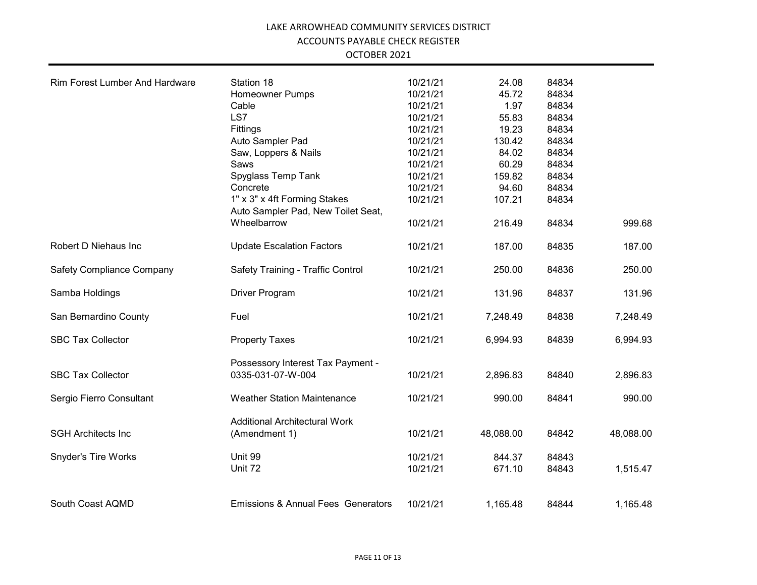| <b>Rim Forest Lumber And Hardware</b> | Station 18                                             | 10/21/21 | 24.08     | 84834 |           |
|---------------------------------------|--------------------------------------------------------|----------|-----------|-------|-----------|
|                                       | <b>Homeowner Pumps</b>                                 | 10/21/21 | 45.72     | 84834 |           |
|                                       | Cable                                                  | 10/21/21 | 1.97      | 84834 |           |
|                                       | LS7                                                    | 10/21/21 | 55.83     | 84834 |           |
|                                       | Fittings                                               | 10/21/21 | 19.23     | 84834 |           |
|                                       | Auto Sampler Pad                                       | 10/21/21 | 130.42    | 84834 |           |
|                                       | Saw, Loppers & Nails                                   | 10/21/21 | 84.02     | 84834 |           |
|                                       | Saws                                                   | 10/21/21 | 60.29     | 84834 |           |
|                                       | Spyglass Temp Tank                                     | 10/21/21 | 159.82    | 84834 |           |
|                                       | Concrete                                               | 10/21/21 | 94.60     | 84834 |           |
|                                       | 1" x 3" x 4ft Forming Stakes                           | 10/21/21 | 107.21    | 84834 |           |
|                                       | Auto Sampler Pad, New Toilet Seat,                     |          |           |       |           |
|                                       | Wheelbarrow                                            | 10/21/21 | 216.49    | 84834 | 999.68    |
| Robert D Niehaus Inc                  | <b>Update Escalation Factors</b>                       | 10/21/21 | 187.00    | 84835 | 187.00    |
| <b>Safety Compliance Company</b>      | Safety Training - Traffic Control                      | 10/21/21 | 250.00    | 84836 | 250.00    |
| Samba Holdings                        | Driver Program                                         | 10/21/21 | 131.96    | 84837 | 131.96    |
| San Bernardino County                 | Fuel                                                   | 10/21/21 | 7,248.49  | 84838 | 7,248.49  |
| <b>SBC Tax Collector</b>              | <b>Property Taxes</b>                                  | 10/21/21 | 6,994.93  | 84839 | 6,994.93  |
|                                       |                                                        |          |           |       |           |
| <b>SBC Tax Collector</b>              | Possessory Interest Tax Payment -<br>0335-031-07-W-004 | 10/21/21 | 2,896.83  | 84840 | 2,896.83  |
| Sergio Fierro Consultant              | <b>Weather Station Maintenance</b>                     | 10/21/21 | 990.00    | 84841 | 990.00    |
|                                       | <b>Additional Architectural Work</b>                   |          |           |       |           |
| <b>SGH Architects Inc</b>             | (Amendment 1)                                          | 10/21/21 | 48,088.00 | 84842 | 48,088.00 |
| Snyder's Tire Works                   | Unit 99                                                | 10/21/21 | 844.37    | 84843 |           |
|                                       | Unit 72                                                | 10/21/21 | 671.10    | 84843 | 1,515.47  |
| South Coast AQMD                      | <b>Emissions &amp; Annual Fees Generators</b>          | 10/21/21 | 1,165.48  | 84844 | 1,165.48  |
|                                       |                                                        |          |           |       |           |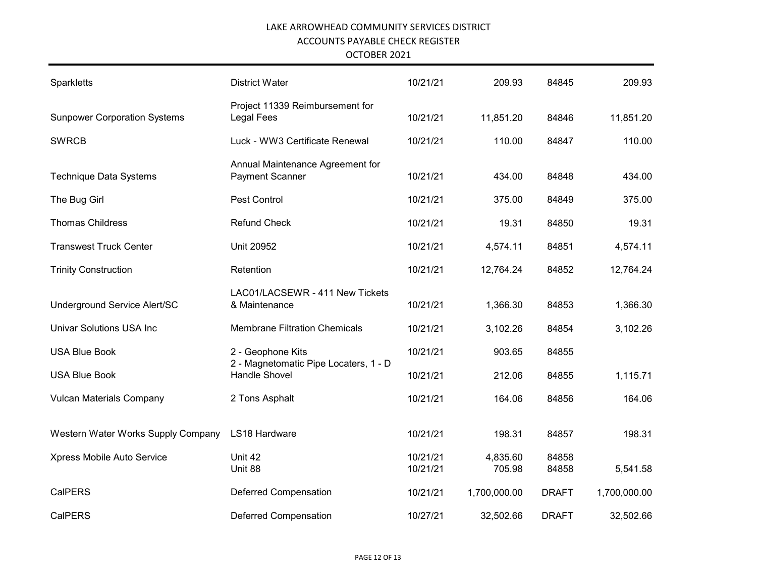| Sparkletts                          | <b>District Water</b>                                         | 10/21/21             | 209.93             | 84845          | 209.93       |
|-------------------------------------|---------------------------------------------------------------|----------------------|--------------------|----------------|--------------|
| <b>Sunpower Corporation Systems</b> | Project 11339 Reimbursement for<br><b>Legal Fees</b>          | 10/21/21             | 11,851.20          | 84846          | 11,851.20    |
| <b>SWRCB</b>                        | Luck - WW3 Certificate Renewal                                | 10/21/21             | 110.00             | 84847          | 110.00       |
| <b>Technique Data Systems</b>       | Annual Maintenance Agreement for<br><b>Payment Scanner</b>    | 10/21/21             | 434.00             | 84848          | 434.00       |
| The Bug Girl                        | Pest Control                                                  | 10/21/21             | 375.00             | 84849          | 375.00       |
| <b>Thomas Childress</b>             | <b>Refund Check</b>                                           | 10/21/21             | 19.31              | 84850          | 19.31        |
| <b>Transwest Truck Center</b>       | <b>Unit 20952</b>                                             | 10/21/21             | 4,574.11           | 84851          | 4,574.11     |
| <b>Trinity Construction</b>         | Retention                                                     | 10/21/21             | 12,764.24          | 84852          | 12,764.24    |
| Underground Service Alert/SC        | LAC01/LACSEWR - 411 New Tickets<br>& Maintenance              | 10/21/21             | 1,366.30           | 84853          | 1,366.30     |
| <b>Univar Solutions USA Inc</b>     | <b>Membrane Filtration Chemicals</b>                          | 10/21/21             | 3,102.26           | 84854          | 3,102.26     |
| <b>USA Blue Book</b>                | 2 - Geophone Kits                                             | 10/21/21             | 903.65             | 84855          |              |
| <b>USA Blue Book</b>                | 2 - Magnetomatic Pipe Locaters, 1 - D<br><b>Handle Shovel</b> | 10/21/21             | 212.06             | 84855          | 1,115.71     |
| <b>Vulcan Materials Company</b>     | 2 Tons Asphalt                                                | 10/21/21             | 164.06             | 84856          | 164.06       |
| Western Water Works Supply Company  | LS18 Hardware                                                 | 10/21/21             | 198.31             | 84857          | 198.31       |
| Xpress Mobile Auto Service          | Unit 42<br>Unit 88                                            | 10/21/21<br>10/21/21 | 4,835.60<br>705.98 | 84858<br>84858 | 5,541.58     |
| <b>CalPERS</b>                      | <b>Deferred Compensation</b>                                  | 10/21/21             | 1,700,000.00       | <b>DRAFT</b>   | 1,700,000.00 |
| <b>CalPERS</b>                      | <b>Deferred Compensation</b>                                  | 10/27/21             | 32,502.66          | <b>DRAFT</b>   | 32,502.66    |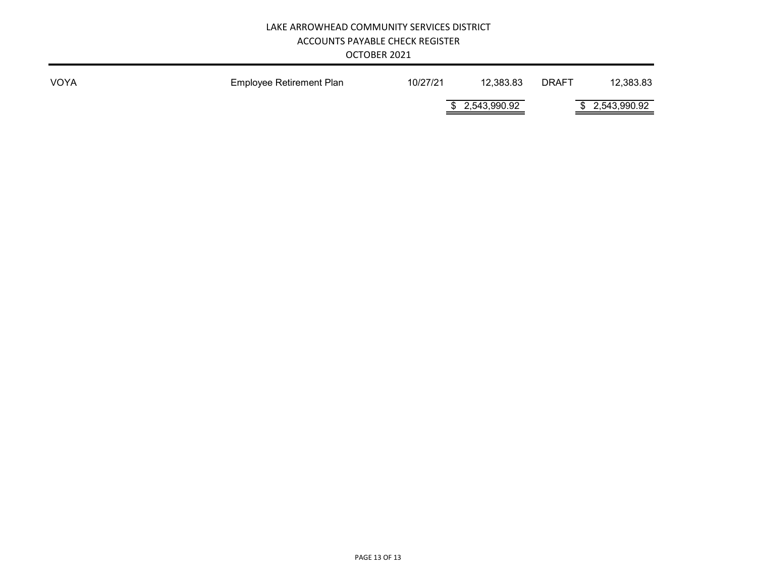| OCTOBER 2021 |  |  |
|--------------|--|--|
|--------------|--|--|

| VOYA | <b>Employee Retirement Plan</b> | 10/27/21 | 12,383.83       | <b>DRAFT</b> | 12,383.83       |
|------|---------------------------------|----------|-----------------|--------------|-----------------|
|      |                                 |          | \$ 2,543,990.92 |              | \$ 2,543,990.92 |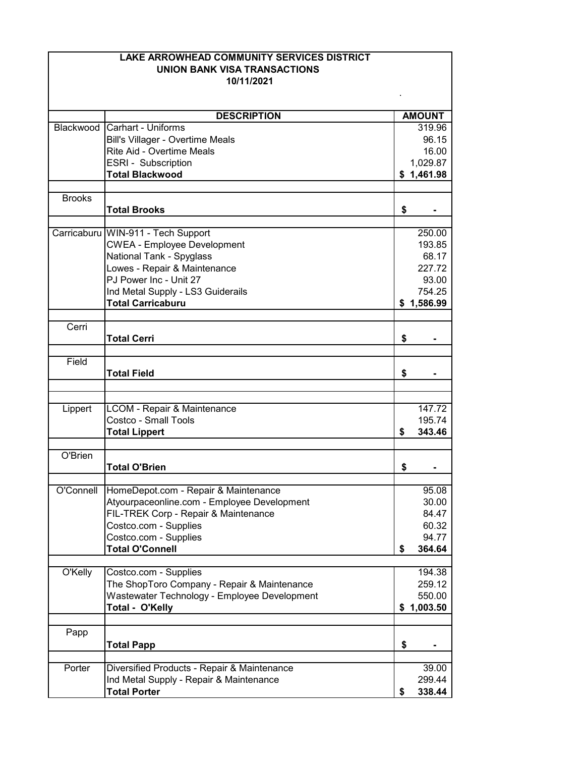|               | <b>LAKE ARROWHEAD COMMUNITY SERVICES DISTRICT</b><br><b>UNION BANK VISA TRANSACTIONS</b><br>10/11/2021 |    |                      |  |
|---------------|--------------------------------------------------------------------------------------------------------|----|----------------------|--|
|               |                                                                                                        |    |                      |  |
|               | <b>DESCRIPTION</b>                                                                                     |    | <b>AMOUNT</b>        |  |
|               | Blackwood Carhart - Uniforms                                                                           |    | 319.96               |  |
|               | Bill's Villager - Overtime Meals                                                                       |    | 96.15                |  |
|               | Rite Aid - Overtime Meals                                                                              |    | 16.00                |  |
|               | ESRI - Subscription                                                                                    |    | 1,029.87             |  |
|               | <b>Total Blackwood</b>                                                                                 |    | \$1,461.98           |  |
|               |                                                                                                        |    |                      |  |
| <b>Brooks</b> | <b>Total Brooks</b>                                                                                    | \$ |                      |  |
|               |                                                                                                        |    |                      |  |
|               | Carricaburu WIN-911 - Tech Support                                                                     |    | 250.00               |  |
|               | <b>CWEA - Employee Development</b>                                                                     |    | 193.85               |  |
|               | National Tank - Spyglass                                                                               |    | 68.17                |  |
|               | Lowes - Repair & Maintenance<br>PJ Power Inc - Unit 27                                                 |    | 227.72               |  |
|               |                                                                                                        |    | 93.00                |  |
|               | Ind Metal Supply - LS3 Guiderails<br><b>Total Carricaburu</b>                                          |    | 754.25<br>\$1,586.99 |  |
|               |                                                                                                        |    |                      |  |
| Cerri         |                                                                                                        |    |                      |  |
|               | <b>Total Cerri</b>                                                                                     | \$ |                      |  |
|               |                                                                                                        |    |                      |  |
| Field         |                                                                                                        |    |                      |  |
|               | <b>Total Field</b>                                                                                     | \$ |                      |  |
|               |                                                                                                        |    |                      |  |
| Lippert       | LCOM - Repair & Maintenance                                                                            |    | 147.72               |  |
|               | Costco - Small Tools                                                                                   |    | 195.74               |  |
|               | <b>Total Lippert</b>                                                                                   | \$ | 343.46               |  |
|               |                                                                                                        |    |                      |  |
| O'Brien       | <b>Total O'Brien</b>                                                                                   | \$ |                      |  |
|               |                                                                                                        |    |                      |  |
| O'Connell     | HomeDepot.com - Repair & Maintenance                                                                   |    | 95.08                |  |
|               | Atyourpaceonline.com - Employee Development                                                            |    | 30.00                |  |
|               | FIL-TREK Corp - Repair & Maintenance                                                                   |    | 84.47                |  |
|               | Costco.com - Supplies                                                                                  |    | 60.32                |  |
|               | Costco.com - Supplies                                                                                  |    | 94.77                |  |
|               | <b>Total O'Connell</b>                                                                                 | \$ | 364.64               |  |
|               |                                                                                                        |    |                      |  |
| O'Kelly       | Costco.com - Supplies                                                                                  |    | 194.38               |  |
|               | The ShopToro Company - Repair & Maintenance                                                            |    | 259.12               |  |
|               | Wastewater Technology - Employee Development                                                           |    | 550.00               |  |
|               | Total - O'Kelly                                                                                        | \$ | 1,003.50             |  |
|               |                                                                                                        |    |                      |  |
| Papp          | <b>Total Papp</b>                                                                                      | \$ |                      |  |
|               |                                                                                                        |    |                      |  |
| Porter        | Diversified Products - Repair & Maintenance                                                            |    | 39.00                |  |
|               | Ind Metal Supply - Repair & Maintenance                                                                |    | 299.44               |  |
|               | <b>Total Porter</b>                                                                                    | \$ | 338.44               |  |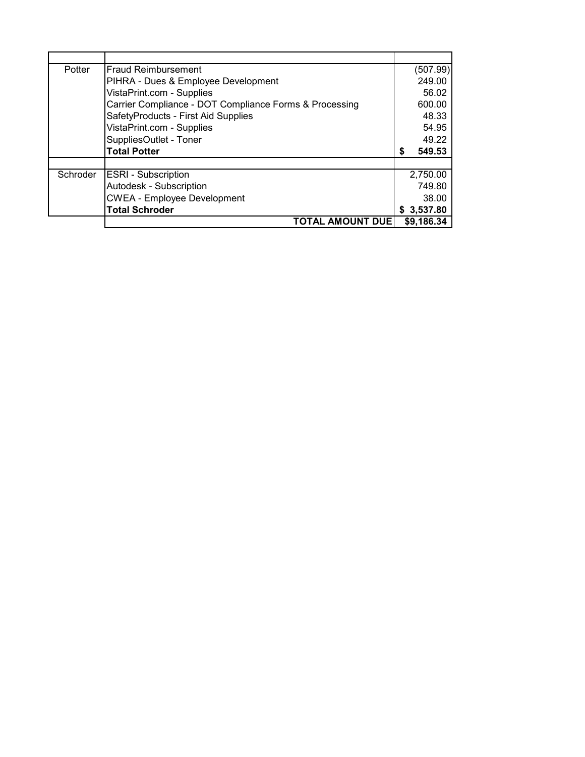| Potter   | <b>Fraud Reimbursement</b>                             | (507.99)    |
|----------|--------------------------------------------------------|-------------|
|          | PIHRA - Dues & Employee Development                    | 249.00      |
|          | VistaPrint.com - Supplies                              | 56.02       |
|          | Carrier Compliance - DOT Compliance Forms & Processing | 600.00      |
|          | SafetyProducts - First Aid Supplies                    | 48.33       |
|          | VistaPrint.com - Supplies                              | 54.95       |
|          | SuppliesOutlet - Toner                                 | 49.22       |
|          | <b>Total Potter</b>                                    | 549.53<br>S |
|          |                                                        |             |
| Schroder | <b>ESRI</b> - Subscription                             | 2,750.00    |
|          | Autodesk - Subscription                                | 749.80      |
|          | <b>CWEA - Employee Development</b>                     | 38.00       |
|          | <b>Total Schroder</b>                                  | \$3,537.80  |
|          | <b>TOTAL AMOUNT DUE</b>                                | \$9,186.34  |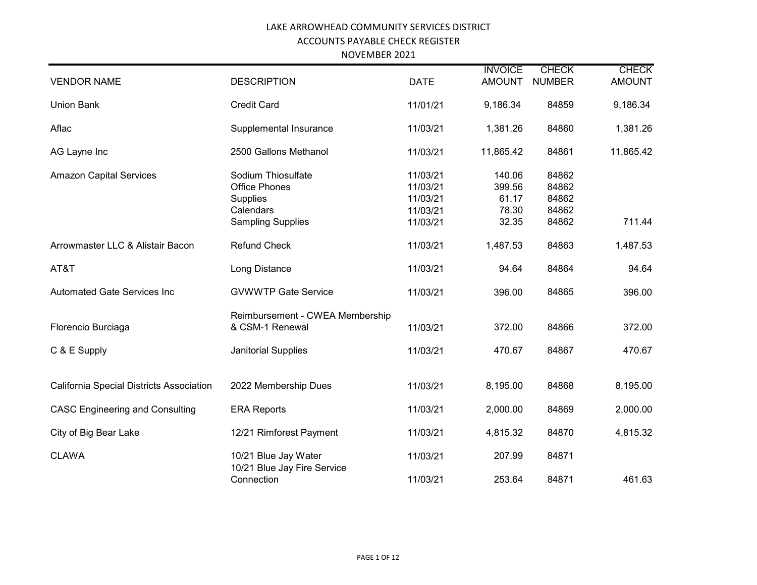| NOVEMBER 2021 |
|---------------|
|---------------|

|                                          |                                                                     |                                              | <b>INVOICE</b>                     | <b>CHECK</b>                     | <b>CHECK</b>  |
|------------------------------------------|---------------------------------------------------------------------|----------------------------------------------|------------------------------------|----------------------------------|---------------|
| <b>VENDOR NAME</b>                       | <b>DESCRIPTION</b>                                                  | <b>DATE</b>                                  | <b>AMOUNT</b>                      | <b>NUMBER</b>                    | <b>AMOUNT</b> |
| <b>Union Bank</b>                        | <b>Credit Card</b>                                                  | 11/01/21                                     | 9,186.34                           | 84859                            | 9,186.34      |
| Aflac                                    | Supplemental Insurance                                              | 11/03/21                                     | 1,381.26                           | 84860                            | 1,381.26      |
| AG Layne Inc                             | 2500 Gallons Methanol                                               | 11/03/21                                     | 11,865.42                          | 84861                            | 11,865.42     |
| <b>Amazon Capital Services</b>           | Sodium Thiosulfate<br><b>Office Phones</b><br>Supplies<br>Calendars | 11/03/21<br>11/03/21<br>11/03/21<br>11/03/21 | 140.06<br>399.56<br>61.17<br>78.30 | 84862<br>84862<br>84862<br>84862 |               |
|                                          | <b>Sampling Supplies</b>                                            | 11/03/21                                     | 32.35                              | 84862                            | 711.44        |
| Arrowmaster LLC & Alistair Bacon         | <b>Refund Check</b>                                                 | 11/03/21                                     | 1,487.53                           | 84863                            | 1,487.53      |
| AT&T                                     | Long Distance                                                       | 11/03/21                                     | 94.64                              | 84864                            | 94.64         |
| <b>Automated Gate Services Inc</b>       | <b>GVWWTP Gate Service</b>                                          | 11/03/21                                     | 396.00                             | 84865                            | 396.00        |
| Florencio Burciaga                       | Reimbursement - CWEA Membership<br>& CSM-1 Renewal                  | 11/03/21                                     | 372.00                             | 84866                            | 372.00        |
| C & E Supply                             | <b>Janitorial Supplies</b>                                          | 11/03/21                                     | 470.67                             | 84867                            | 470.67        |
|                                          |                                                                     |                                              |                                    |                                  |               |
| California Special Districts Association | 2022 Membership Dues                                                | 11/03/21                                     | 8,195.00                           | 84868                            | 8,195.00      |
| <b>CASC Engineering and Consulting</b>   | <b>ERA Reports</b>                                                  | 11/03/21                                     | 2,000.00                           | 84869                            | 2,000.00      |
| City of Big Bear Lake                    | 12/21 Rimforest Payment                                             | 11/03/21                                     | 4,815.32                           | 84870                            | 4,815.32      |
| <b>CLAWA</b>                             | 10/21 Blue Jay Water<br>10/21 Blue Jay Fire Service                 | 11/03/21                                     | 207.99                             | 84871                            |               |
|                                          | Connection                                                          | 11/03/21                                     | 253.64                             | 84871                            | 461.63        |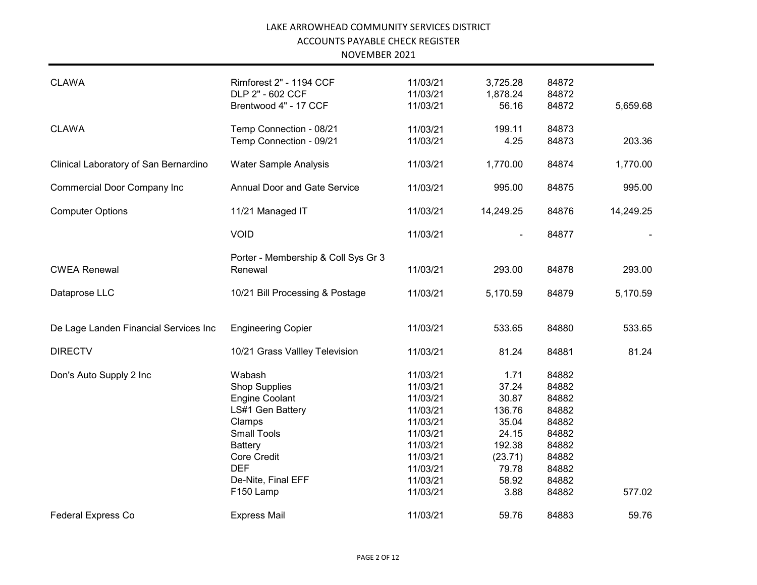| <b>CLAWA</b>                          | Rimforest 2" - 1194 CCF             | 11/03/21 | 3,725.28       | 84872 |           |
|---------------------------------------|-------------------------------------|----------|----------------|-------|-----------|
|                                       | DLP 2" - 602 CCF                    | 11/03/21 | 1,878.24       | 84872 |           |
|                                       | Brentwood 4" - 17 CCF               | 11/03/21 | 56.16          | 84872 | 5,659.68  |
|                                       |                                     |          |                |       |           |
| <b>CLAWA</b>                          | Temp Connection - 08/21             | 11/03/21 | 199.11         | 84873 |           |
|                                       | Temp Connection - 09/21             | 11/03/21 | 4.25           | 84873 | 203.36    |
|                                       |                                     |          |                |       |           |
| Clinical Laboratory of San Bernardino | Water Sample Analysis               | 11/03/21 | 1,770.00       | 84874 | 1,770.00  |
|                                       |                                     |          |                |       |           |
| <b>Commercial Door Company Inc</b>    | <b>Annual Door and Gate Service</b> | 11/03/21 | 995.00         | 84875 | 995.00    |
|                                       |                                     |          |                |       |           |
| <b>Computer Options</b>               | 11/21 Managed IT                    | 11/03/21 | 14,249.25      | 84876 | 14,249.25 |
|                                       |                                     |          |                |       |           |
|                                       | <b>VOID</b>                         | 11/03/21 | $\blacksquare$ | 84877 |           |
|                                       |                                     |          |                |       |           |
|                                       | Porter - Membership & Coll Sys Gr 3 |          |                |       |           |
| <b>CWEA Renewal</b>                   | Renewal                             | 11/03/21 | 293.00         | 84878 | 293.00    |
|                                       |                                     |          |                |       |           |
| Dataprose LLC                         | 10/21 Bill Processing & Postage     | 11/03/21 | 5,170.59       | 84879 | 5,170.59  |
|                                       |                                     |          |                |       |           |
|                                       |                                     |          |                |       |           |
| De Lage Landen Financial Services Inc | <b>Engineering Copier</b>           | 11/03/21 | 533.65         | 84880 | 533.65    |
|                                       |                                     |          |                |       |           |
| <b>DIRECTV</b>                        | 10/21 Grass Vallley Television      | 11/03/21 | 81.24          | 84881 | 81.24     |
| Don's Auto Supply 2 Inc               | Wabash                              | 11/03/21 | 1.71           | 84882 |           |
|                                       | <b>Shop Supplies</b>                | 11/03/21 | 37.24          | 84882 |           |
|                                       | <b>Engine Coolant</b>               | 11/03/21 | 30.87          | 84882 |           |
|                                       | LS#1 Gen Battery                    | 11/03/21 | 136.76         | 84882 |           |
|                                       | Clamps                              | 11/03/21 | 35.04          | 84882 |           |
|                                       | <b>Small Tools</b>                  | 11/03/21 | 24.15          | 84882 |           |
|                                       | Battery                             | 11/03/21 | 192.38         | 84882 |           |
|                                       | <b>Core Credit</b>                  | 11/03/21 |                |       |           |
|                                       |                                     |          | (23.71)        | 84882 |           |
|                                       | <b>DEF</b>                          | 11/03/21 | 79.78          | 84882 |           |
|                                       | De-Nite, Final EFF                  | 11/03/21 | 58.92          | 84882 |           |
|                                       | F150 Lamp                           | 11/03/21 | 3.88           | 84882 | 577.02    |
|                                       |                                     |          |                |       |           |
| <b>Federal Express Co</b>             | <b>Express Mail</b>                 | 11/03/21 | 59.76          | 84883 | 59.76     |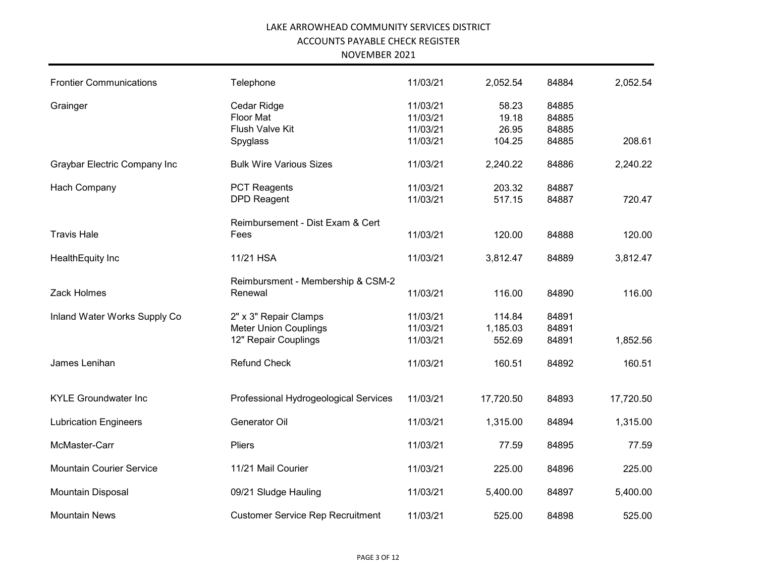#### NOVEMBER 2021

| <b>Frontier Communications</b>  | Telephone                               | 11/03/21 | 2,052.54  | 84884 | 2,052.54  |
|---------------------------------|-----------------------------------------|----------|-----------|-------|-----------|
| Grainger                        | Cedar Ridge                             | 11/03/21 | 58.23     | 84885 |           |
|                                 | Floor Mat                               | 11/03/21 | 19.18     | 84885 |           |
|                                 | Flush Valve Kit                         | 11/03/21 | 26.95     | 84885 |           |
|                                 | Spyglass                                | 11/03/21 | 104.25    | 84885 | 208.61    |
| Graybar Electric Company Inc    | <b>Bulk Wire Various Sizes</b>          | 11/03/21 | 2,240.22  | 84886 | 2,240.22  |
| Hach Company                    | <b>PCT Reagents</b>                     | 11/03/21 | 203.32    | 84887 |           |
|                                 | <b>DPD Reagent</b>                      | 11/03/21 | 517.15    | 84887 | 720.47    |
|                                 | Reimbursement - Dist Exam & Cert        |          |           |       |           |
| <b>Travis Hale</b>              | Fees                                    | 11/03/21 | 120.00    | 84888 | 120.00    |
| HealthEquity Inc                | 11/21 HSA                               | 11/03/21 | 3,812.47  | 84889 | 3,812.47  |
|                                 | Reimbursment - Membership & CSM-2       |          |           |       |           |
| Zack Holmes                     | Renewal                                 | 11/03/21 | 116.00    | 84890 | 116.00    |
| Inland Water Works Supply Co    | 2" x 3" Repair Clamps                   | 11/03/21 | 114.84    | 84891 |           |
|                                 | <b>Meter Union Couplings</b>            | 11/03/21 | 1,185.03  | 84891 |           |
|                                 | 12" Repair Couplings                    | 11/03/21 | 552.69    | 84891 | 1,852.56  |
| James Lenihan                   | <b>Refund Check</b>                     | 11/03/21 | 160.51    | 84892 | 160.51    |
| <b>KYLE Groundwater Inc</b>     | Professional Hydrogeological Services   | 11/03/21 | 17,720.50 | 84893 | 17,720.50 |
|                                 |                                         |          |           |       |           |
| <b>Lubrication Engineers</b>    | Generator Oil                           | 11/03/21 | 1,315.00  | 84894 | 1,315.00  |
| McMaster-Carr                   | Pliers                                  | 11/03/21 | 77.59     | 84895 | 77.59     |
| <b>Mountain Courier Service</b> | 11/21 Mail Courier                      | 11/03/21 | 225.00    | 84896 | 225.00    |
| Mountain Disposal               | 09/21 Sludge Hauling                    | 11/03/21 | 5,400.00  | 84897 | 5,400.00  |
| <b>Mountain News</b>            | <b>Customer Service Rep Recruitment</b> | 11/03/21 | 525.00    | 84898 | 525.00    |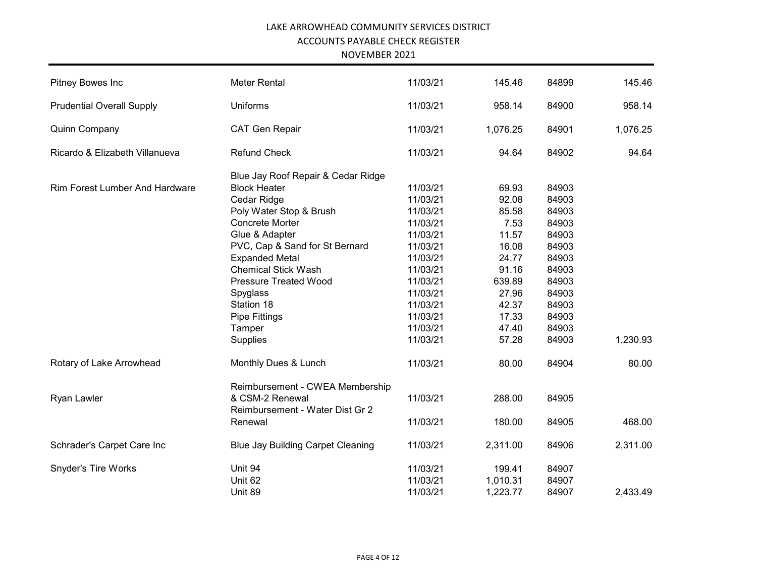NOVEMBER 2021

| Pitney Bowes Inc                      | <b>Meter Rental</b>                        | 11/03/21 | 145.46   | 84899 | 145.46   |
|---------------------------------------|--------------------------------------------|----------|----------|-------|----------|
| <b>Prudential Overall Supply</b>      | <b>Uniforms</b>                            | 11/03/21 | 958.14   | 84900 | 958.14   |
| <b>Quinn Company</b>                  | <b>CAT Gen Repair</b>                      | 11/03/21 | 1,076.25 | 84901 | 1,076.25 |
| Ricardo & Elizabeth Villanueva        | <b>Refund Check</b>                        | 11/03/21 | 94.64    | 84902 | 94.64    |
|                                       | Blue Jay Roof Repair & Cedar Ridge         |          |          |       |          |
| <b>Rim Forest Lumber And Hardware</b> | <b>Block Heater</b>                        | 11/03/21 | 69.93    | 84903 |          |
|                                       | Cedar Ridge                                | 11/03/21 | 92.08    | 84903 |          |
|                                       | Poly Water Stop & Brush                    | 11/03/21 | 85.58    | 84903 |          |
|                                       | Concrete Morter                            | 11/03/21 | 7.53     | 84903 |          |
|                                       | Glue & Adapter                             | 11/03/21 | 11.57    | 84903 |          |
|                                       | PVC, Cap & Sand for St Bernard             | 11/03/21 | 16.08    | 84903 |          |
|                                       | <b>Expanded Metal</b>                      | 11/03/21 | 24.77    | 84903 |          |
|                                       | <b>Chemical Stick Wash</b>                 | 11/03/21 | 91.16    | 84903 |          |
|                                       | <b>Pressure Treated Wood</b>               | 11/03/21 | 639.89   | 84903 |          |
|                                       | Spyglass                                   | 11/03/21 | 27.96    | 84903 |          |
|                                       | Station 18                                 | 11/03/21 | 42.37    | 84903 |          |
|                                       | <b>Pipe Fittings</b>                       | 11/03/21 | 17.33    | 84903 |          |
|                                       | Tamper                                     | 11/03/21 | 47.40    | 84903 |          |
|                                       | Supplies                                   | 11/03/21 | 57.28    | 84903 | 1,230.93 |
| Rotary of Lake Arrowhead              | Monthly Dues & Lunch                       | 11/03/21 | 80.00    | 84904 | 80.00    |
|                                       | Reimbursement - CWEA Membership            |          |          |       |          |
| Ryan Lawler                           | & CSM-2 Renewal                            | 11/03/21 | 288.00   | 84905 |          |
|                                       | Reimbursement - Water Dist Gr 2<br>Renewal | 11/03/21 | 180.00   | 84905 | 468.00   |
|                                       |                                            |          |          |       |          |
| Schrader's Carpet Care Inc            | <b>Blue Jay Building Carpet Cleaning</b>   | 11/03/21 | 2,311.00 | 84906 | 2,311.00 |
| Snyder's Tire Works                   | Unit 94                                    | 11/03/21 | 199.41   | 84907 |          |
|                                       | Unit 62                                    | 11/03/21 | 1,010.31 | 84907 |          |
|                                       | Unit 89                                    | 11/03/21 | 1,223.77 | 84907 | 2,433.49 |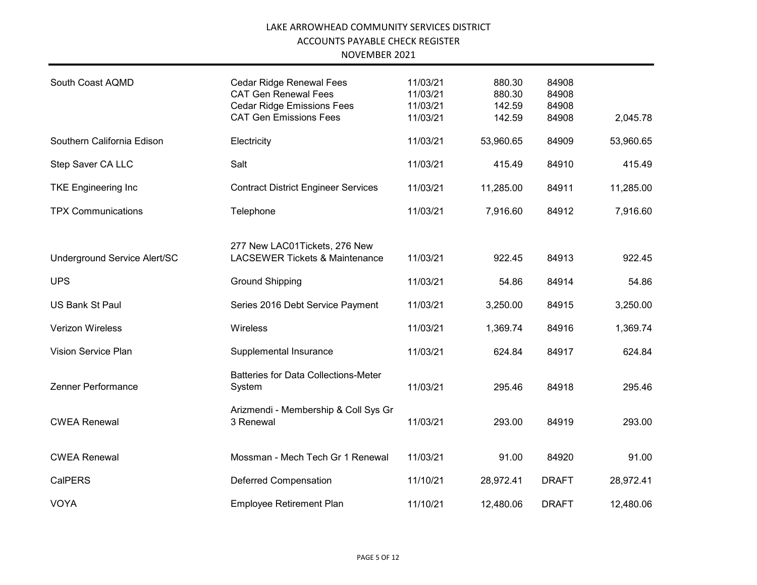| South Coast AQMD             | Cedar Ridge Renewal Fees<br><b>CAT Gen Renewal Fees</b><br><b>Cedar Ridge Emissions Fees</b><br><b>CAT Gen Emissions Fees</b> | 11/03/21<br>11/03/21<br>11/03/21<br>11/03/21 | 880.30<br>880.30<br>142.59<br>142.59 | 84908<br>84908<br>84908<br>84908 | 2,045.78  |
|------------------------------|-------------------------------------------------------------------------------------------------------------------------------|----------------------------------------------|--------------------------------------|----------------------------------|-----------|
| Southern California Edison   | Electricity                                                                                                                   | 11/03/21                                     | 53,960.65                            | 84909                            | 53,960.65 |
| Step Saver CA LLC            | Salt                                                                                                                          | 11/03/21                                     | 415.49                               | 84910                            | 415.49    |
| <b>TKE Engineering Inc</b>   | <b>Contract District Engineer Services</b>                                                                                    | 11/03/21                                     | 11,285.00                            | 84911                            | 11,285.00 |
| <b>TPX Communications</b>    | Telephone                                                                                                                     | 11/03/21                                     | 7,916.60                             | 84912                            | 7,916.60  |
| Underground Service Alert/SC | 277 New LAC01Tickets, 276 New<br><b>LACSEWER Tickets &amp; Maintenance</b>                                                    | 11/03/21                                     | 922.45                               | 84913                            | 922.45    |
| <b>UPS</b>                   | <b>Ground Shipping</b>                                                                                                        | 11/03/21                                     | 54.86                                | 84914                            | 54.86     |
| <b>US Bank St Paul</b>       | Series 2016 Debt Service Payment                                                                                              | 11/03/21                                     | 3,250.00                             | 84915                            | 3,250.00  |
| <b>Verizon Wireless</b>      | Wireless                                                                                                                      | 11/03/21                                     | 1,369.74                             | 84916                            | 1,369.74  |
| Vision Service Plan          | Supplemental Insurance                                                                                                        | 11/03/21                                     | 624.84                               | 84917                            | 624.84    |
| Zenner Performance           | <b>Batteries for Data Collections-Meter</b><br>System                                                                         | 11/03/21                                     | 295.46                               | 84918                            | 295.46    |
| <b>CWEA Renewal</b>          | Arizmendi - Membership & Coll Sys Gr<br>3 Renewal                                                                             | 11/03/21                                     | 293.00                               | 84919                            | 293.00    |
| <b>CWEA Renewal</b>          | Mossman - Mech Tech Gr 1 Renewal                                                                                              | 11/03/21                                     | 91.00                                | 84920                            | 91.00     |
| <b>CalPERS</b>               | <b>Deferred Compensation</b>                                                                                                  | 11/10/21                                     | 28,972.41                            | <b>DRAFT</b>                     | 28,972.41 |
| <b>VOYA</b>                  | <b>Employee Retirement Plan</b>                                                                                               | 11/10/21                                     | 12,480.06                            | <b>DRAFT</b>                     | 12,480.06 |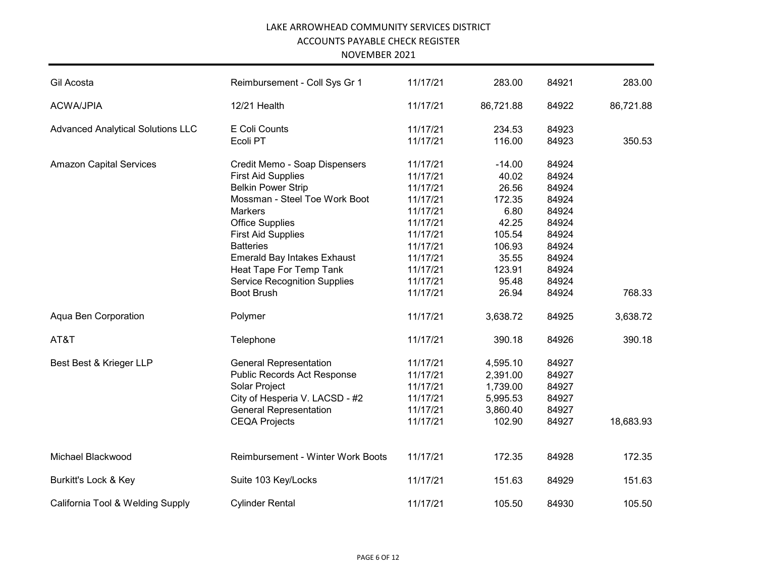#### NOVEMBER 2021

| Gil Acosta                               | Reimbursement - Coll Sys Gr 1            | 11/17/21 | 283.00    | 84921 | 283.00    |
|------------------------------------------|------------------------------------------|----------|-----------|-------|-----------|
| <b>ACWA/JPIA</b>                         | 12/21 Health                             | 11/17/21 | 86,721.88 | 84922 | 86,721.88 |
| <b>Advanced Analytical Solutions LLC</b> | E Coli Counts                            | 11/17/21 | 234.53    | 84923 |           |
|                                          | Ecoli PT                                 | 11/17/21 | 116.00    | 84923 | 350.53    |
| <b>Amazon Capital Services</b>           | Credit Memo - Soap Dispensers            | 11/17/21 | $-14.00$  | 84924 |           |
|                                          | <b>First Aid Supplies</b>                | 11/17/21 | 40.02     | 84924 |           |
|                                          | <b>Belkin Power Strip</b>                | 11/17/21 | 26.56     | 84924 |           |
|                                          | Mossman - Steel Toe Work Boot            | 11/17/21 | 172.35    | 84924 |           |
|                                          | <b>Markers</b>                           | 11/17/21 | 6.80      | 84924 |           |
|                                          | <b>Office Supplies</b>                   | 11/17/21 | 42.25     | 84924 |           |
|                                          | <b>First Aid Supplies</b>                | 11/17/21 | 105.54    | 84924 |           |
|                                          | <b>Batteries</b>                         | 11/17/21 | 106.93    | 84924 |           |
|                                          | <b>Emerald Bay Intakes Exhaust</b>       | 11/17/21 | 35.55     | 84924 |           |
|                                          | Heat Tape For Temp Tank                  | 11/17/21 | 123.91    | 84924 |           |
|                                          | <b>Service Recognition Supplies</b>      | 11/17/21 | 95.48     | 84924 |           |
|                                          | <b>Boot Brush</b>                        | 11/17/21 | 26.94     | 84924 | 768.33    |
| Aqua Ben Corporation                     | Polymer                                  | 11/17/21 | 3,638.72  | 84925 | 3,638.72  |
| AT&T                                     | Telephone                                | 11/17/21 | 390.18    | 84926 | 390.18    |
| Best Best & Krieger LLP                  | <b>General Representation</b>            | 11/17/21 | 4,595.10  | 84927 |           |
|                                          | Public Records Act Response              | 11/17/21 | 2,391.00  | 84927 |           |
|                                          | Solar Project                            | 11/17/21 | 1,739.00  | 84927 |           |
|                                          | City of Hesperia V. LACSD - #2           | 11/17/21 | 5,995.53  | 84927 |           |
|                                          | <b>General Representation</b>            | 11/17/21 | 3,860.40  | 84927 |           |
|                                          | <b>CEQA Projects</b>                     | 11/17/21 | 102.90    | 84927 | 18,683.93 |
| Michael Blackwood                        | <b>Reimbursement - Winter Work Boots</b> | 11/17/21 | 172.35    | 84928 | 172.35    |
| Burkitt's Lock & Key                     | Suite 103 Key/Locks                      | 11/17/21 | 151.63    | 84929 | 151.63    |
| California Tool & Welding Supply         | <b>Cylinder Rental</b>                   | 11/17/21 | 105.50    | 84930 | 105.50    |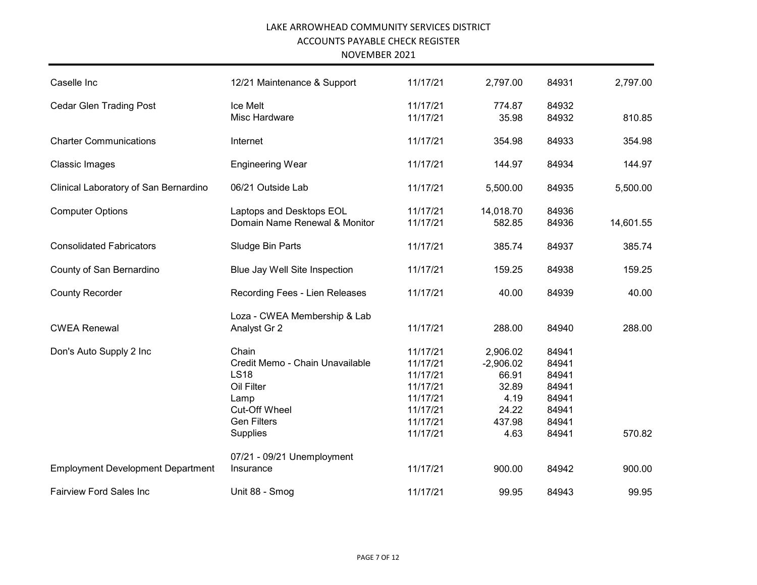| Caselle Inc                              | 12/21 Maintenance & Support                                                                                                      | 11/17/21                                                                                     | 2,797.00                                                                     | 84931                                                                | 2,797.00  |
|------------------------------------------|----------------------------------------------------------------------------------------------------------------------------------|----------------------------------------------------------------------------------------------|------------------------------------------------------------------------------|----------------------------------------------------------------------|-----------|
| <b>Cedar Glen Trading Post</b>           | Ice Melt<br>Misc Hardware                                                                                                        | 11/17/21<br>11/17/21                                                                         | 774.87<br>35.98                                                              | 84932<br>84932                                                       | 810.85    |
| <b>Charter Communications</b>            | Internet                                                                                                                         | 11/17/21                                                                                     | 354.98                                                                       | 84933                                                                | 354.98    |
| <b>Classic Images</b>                    | <b>Engineering Wear</b>                                                                                                          | 11/17/21                                                                                     | 144.97                                                                       | 84934                                                                | 144.97    |
| Clinical Laboratory of San Bernardino    | 06/21 Outside Lab                                                                                                                | 11/17/21                                                                                     | 5,500.00                                                                     | 84935                                                                | 5,500.00  |
| <b>Computer Options</b>                  | Laptops and Desktops EOL<br>Domain Name Renewal & Monitor                                                                        | 11/17/21<br>11/17/21                                                                         | 14,018.70<br>582.85                                                          | 84936<br>84936                                                       | 14,601.55 |
| <b>Consolidated Fabricators</b>          | Sludge Bin Parts                                                                                                                 | 11/17/21                                                                                     | 385.74                                                                       | 84937                                                                | 385.74    |
| County of San Bernardino                 | Blue Jay Well Site Inspection                                                                                                    | 11/17/21                                                                                     | 159.25                                                                       | 84938                                                                | 159.25    |
| <b>County Recorder</b>                   | Recording Fees - Lien Releases                                                                                                   | 11/17/21                                                                                     | 40.00                                                                        | 84939                                                                | 40.00     |
| <b>CWEA Renewal</b>                      | Loza - CWEA Membership & Lab<br>Analyst Gr 2                                                                                     | 11/17/21                                                                                     | 288.00                                                                       | 84940                                                                | 288.00    |
| Don's Auto Supply 2 Inc                  | Chain<br>Credit Memo - Chain Unavailable<br><b>LS18</b><br>Oil Filter<br>Lamp<br>Cut-Off Wheel<br><b>Gen Filters</b><br>Supplies | 11/17/21<br>11/17/21<br>11/17/21<br>11/17/21<br>11/17/21<br>11/17/21<br>11/17/21<br>11/17/21 | 2,906.02<br>$-2,906.02$<br>66.91<br>32.89<br>4.19<br>24.22<br>437.98<br>4.63 | 84941<br>84941<br>84941<br>84941<br>84941<br>84941<br>84941<br>84941 | 570.82    |
| <b>Employment Development Department</b> | 07/21 - 09/21 Unemployment<br>Insurance                                                                                          | 11/17/21                                                                                     | 900.00                                                                       | 84942                                                                | 900.00    |
| <b>Fairview Ford Sales Inc</b>           | Unit 88 - Smog                                                                                                                   | 11/17/21                                                                                     | 99.95                                                                        | 84943                                                                | 99.95     |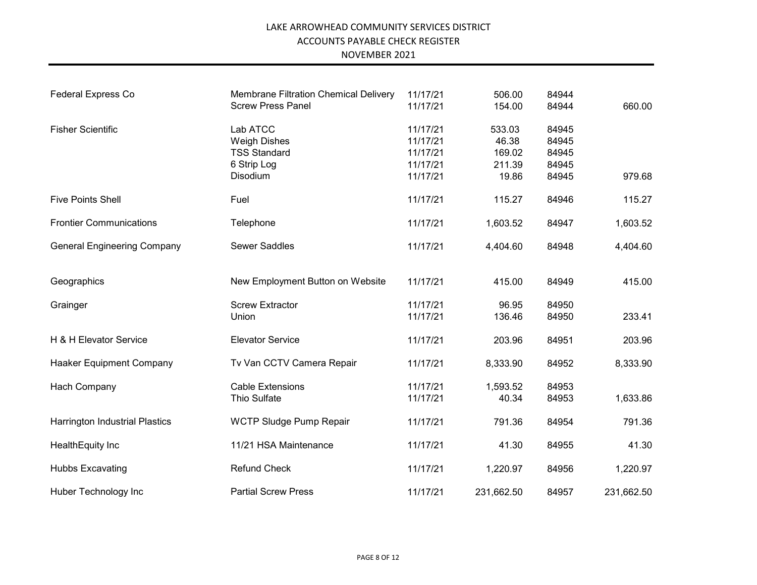| <b>Federal Express Co</b>             | <b>Membrane Filtration Chemical Delivery</b><br><b>Screw Press Panel</b> | 11/17/21<br>11/17/21 | 506.00<br>154.00 | 84944<br>84944 | 660.00     |
|---------------------------------------|--------------------------------------------------------------------------|----------------------|------------------|----------------|------------|
|                                       |                                                                          |                      |                  |                |            |
| <b>Fisher Scientific</b>              | Lab ATCC                                                                 | 11/17/21             | 533.03           | 84945          |            |
|                                       | <b>Weigh Dishes</b>                                                      | 11/17/21             | 46.38            | 84945          |            |
|                                       | <b>TSS Standard</b>                                                      | 11/17/21             | 169.02           | 84945          |            |
|                                       | 6 Strip Log                                                              | 11/17/21             | 211.39           | 84945          |            |
|                                       | Disodium                                                                 | 11/17/21             | 19.86            | 84945          | 979.68     |
| <b>Five Points Shell</b>              | Fuel                                                                     | 11/17/21             | 115.27           | 84946          | 115.27     |
| <b>Frontier Communications</b>        | Telephone                                                                | 11/17/21             | 1,603.52         | 84947          | 1,603.52   |
| <b>General Engineering Company</b>    | <b>Sewer Saddles</b>                                                     | 11/17/21             | 4,404.60         | 84948          | 4,404.60   |
| Geographics                           | New Employment Button on Website                                         | 11/17/21             | 415.00           | 84949          | 415.00     |
| Grainger                              | <b>Screw Extractor</b>                                                   | 11/17/21             | 96.95            | 84950          |            |
|                                       | Union                                                                    | 11/17/21             | 136.46           | 84950          | 233.41     |
| H & H Elevator Service                | <b>Elevator Service</b>                                                  | 11/17/21             | 203.96           | 84951          | 203.96     |
| Haaker Equipment Company              | Tv Van CCTV Camera Repair                                                | 11/17/21             | 8,333.90         | 84952          | 8,333.90   |
| Hach Company                          | <b>Cable Extensions</b>                                                  | 11/17/21             | 1,593.52         | 84953          |            |
|                                       | Thio Sulfate                                                             | 11/17/21             | 40.34            | 84953          | 1,633.86   |
| <b>Harrington Industrial Plastics</b> | WCTP Sludge Pump Repair                                                  | 11/17/21             | 791.36           | 84954          | 791.36     |
| HealthEquity Inc                      | 11/21 HSA Maintenance                                                    | 11/17/21             | 41.30            | 84955          | 41.30      |
| <b>Hubbs Excavating</b>               | <b>Refund Check</b>                                                      | 11/17/21             | 1,220.97         | 84956          | 1,220.97   |
| Huber Technology Inc                  | <b>Partial Screw Press</b>                                               | 11/17/21             | 231,662.50       | 84957          | 231,662.50 |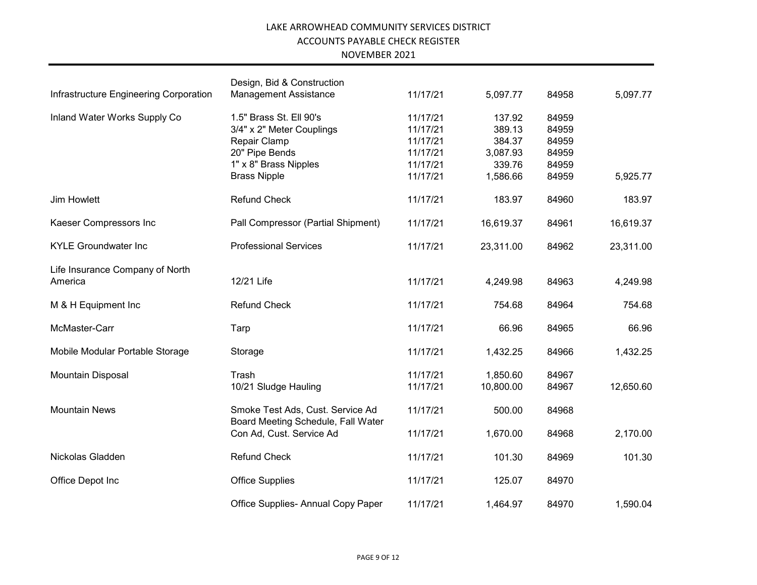|                                        | Design, Bid & Construction                                             |          |           |       |           |
|----------------------------------------|------------------------------------------------------------------------|----------|-----------|-------|-----------|
| Infrastructure Engineering Corporation | <b>Management Assistance</b>                                           | 11/17/21 | 5,097.77  | 84958 | 5,097.77  |
| Inland Water Works Supply Co           | 1.5" Brass St. Ell 90's                                                | 11/17/21 | 137.92    | 84959 |           |
|                                        | 3/4" x 2" Meter Couplings                                              | 11/17/21 | 389.13    | 84959 |           |
|                                        | Repair Clamp                                                           | 11/17/21 | 384.37    | 84959 |           |
|                                        | 20" Pipe Bends                                                         | 11/17/21 | 3,087.93  | 84959 |           |
|                                        | 1" x 8" Brass Nipples                                                  | 11/17/21 | 339.76    | 84959 |           |
|                                        | <b>Brass Nipple</b>                                                    | 11/17/21 | 1,586.66  | 84959 | 5,925.77  |
| Jim Howlett                            | <b>Refund Check</b>                                                    | 11/17/21 | 183.97    | 84960 | 183.97    |
| Kaeser Compressors Inc                 | Pall Compressor (Partial Shipment)                                     | 11/17/21 | 16,619.37 | 84961 | 16,619.37 |
| <b>KYLE Groundwater Inc</b>            | <b>Professional Services</b>                                           | 11/17/21 | 23,311.00 | 84962 | 23,311.00 |
| Life Insurance Company of North        |                                                                        |          |           |       |           |
| America                                | 12/21 Life                                                             | 11/17/21 | 4,249.98  | 84963 | 4,249.98  |
| M & H Equipment Inc                    | <b>Refund Check</b>                                                    | 11/17/21 | 754.68    | 84964 | 754.68    |
| McMaster-Carr                          | Tarp                                                                   | 11/17/21 | 66.96     | 84965 | 66.96     |
| Mobile Modular Portable Storage        | Storage                                                                | 11/17/21 | 1,432.25  | 84966 | 1,432.25  |
| Mountain Disposal                      | Trash                                                                  | 11/17/21 | 1,850.60  | 84967 |           |
|                                        | 10/21 Sludge Hauling                                                   | 11/17/21 | 10,800.00 | 84967 | 12,650.60 |
| <b>Mountain News</b>                   | Smoke Test Ads, Cust. Service Ad<br>Board Meeting Schedule, Fall Water | 11/17/21 | 500.00    | 84968 |           |
|                                        | Con Ad, Cust. Service Ad                                               | 11/17/21 | 1,670.00  | 84968 | 2,170.00  |
| Nickolas Gladden                       | <b>Refund Check</b>                                                    | 11/17/21 | 101.30    | 84969 | 101.30    |
| Office Depot Inc                       | <b>Office Supplies</b>                                                 | 11/17/21 | 125.07    | 84970 |           |
|                                        | Office Supplies- Annual Copy Paper                                     | 11/17/21 | 1,464.97  | 84970 | 1,590.04  |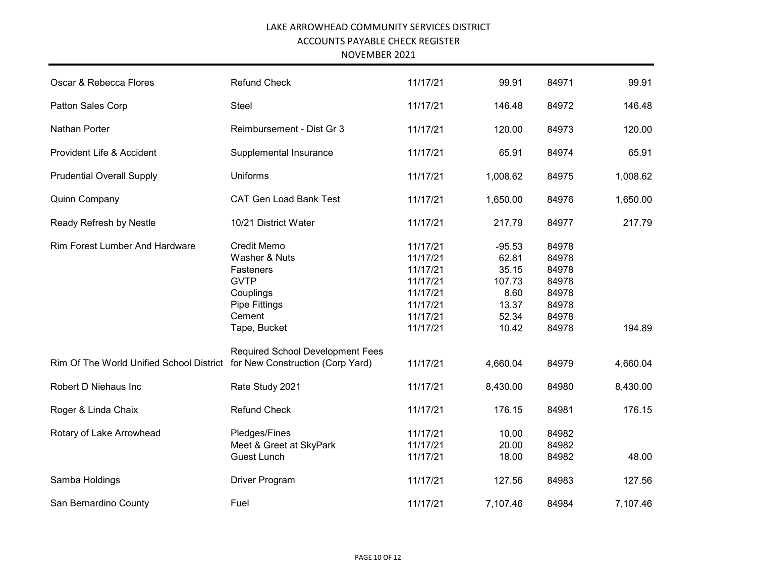NOVEMBER 2021

| Oscar & Rebecca Flores                                                    | <b>Refund Check</b>                                                                                                            | 11/17/21                                                                                     | 99.91                                                                   | 84971                                                                | 99.91    |
|---------------------------------------------------------------------------|--------------------------------------------------------------------------------------------------------------------------------|----------------------------------------------------------------------------------------------|-------------------------------------------------------------------------|----------------------------------------------------------------------|----------|
| Patton Sales Corp                                                         | <b>Steel</b>                                                                                                                   | 11/17/21                                                                                     | 146.48                                                                  | 84972                                                                | 146.48   |
| Nathan Porter                                                             | Reimbursement - Dist Gr 3                                                                                                      | 11/17/21                                                                                     | 120.00                                                                  | 84973                                                                | 120.00   |
| Provident Life & Accident                                                 | Supplemental Insurance                                                                                                         | 11/17/21                                                                                     | 65.91                                                                   | 84974                                                                | 65.91    |
| <b>Prudential Overall Supply</b>                                          | Uniforms                                                                                                                       | 11/17/21                                                                                     | 1,008.62                                                                | 84975                                                                | 1,008.62 |
| Quinn Company                                                             | <b>CAT Gen Load Bank Test</b>                                                                                                  | 11/17/21                                                                                     | 1,650.00                                                                | 84976                                                                | 1,650.00 |
| Ready Refresh by Nestle                                                   | 10/21 District Water                                                                                                           | 11/17/21                                                                                     | 217.79                                                                  | 84977                                                                | 217.79   |
| <b>Rim Forest Lumber And Hardware</b>                                     | <b>Credit Memo</b><br>Washer & Nuts<br>Fasteners<br><b>GVTP</b><br>Couplings<br><b>Pipe Fittings</b><br>Cement<br>Tape, Bucket | 11/17/21<br>11/17/21<br>11/17/21<br>11/17/21<br>11/17/21<br>11/17/21<br>11/17/21<br>11/17/21 | $-95.53$<br>62.81<br>35.15<br>107.73<br>8.60<br>13.37<br>52.34<br>10.42 | 84978<br>84978<br>84978<br>84978<br>84978<br>84978<br>84978<br>84978 | 194.89   |
| Rim Of The World Unified School District for New Construction (Corp Yard) | <b>Required School Development Fees</b>                                                                                        | 11/17/21                                                                                     | 4,660.04                                                                | 84979                                                                | 4,660.04 |
| Robert D Niehaus Inc                                                      | Rate Study 2021                                                                                                                | 11/17/21                                                                                     | 8,430.00                                                                | 84980                                                                | 8,430.00 |
| Roger & Linda Chaix                                                       | <b>Refund Check</b>                                                                                                            | 11/17/21                                                                                     | 176.15                                                                  | 84981                                                                | 176.15   |
| Rotary of Lake Arrowhead                                                  | Pledges/Fines<br>Meet & Greet at SkyPark<br><b>Guest Lunch</b>                                                                 | 11/17/21<br>11/17/21<br>11/17/21                                                             | 10.00<br>20.00<br>18.00                                                 | 84982<br>84982<br>84982                                              | 48.00    |
| Samba Holdings                                                            | Driver Program                                                                                                                 | 11/17/21                                                                                     | 127.56                                                                  | 84983                                                                | 127.56   |
| San Bernardino County                                                     | Fuel                                                                                                                           | 11/17/21                                                                                     | 7,107.46                                                                | 84984                                                                | 7,107.46 |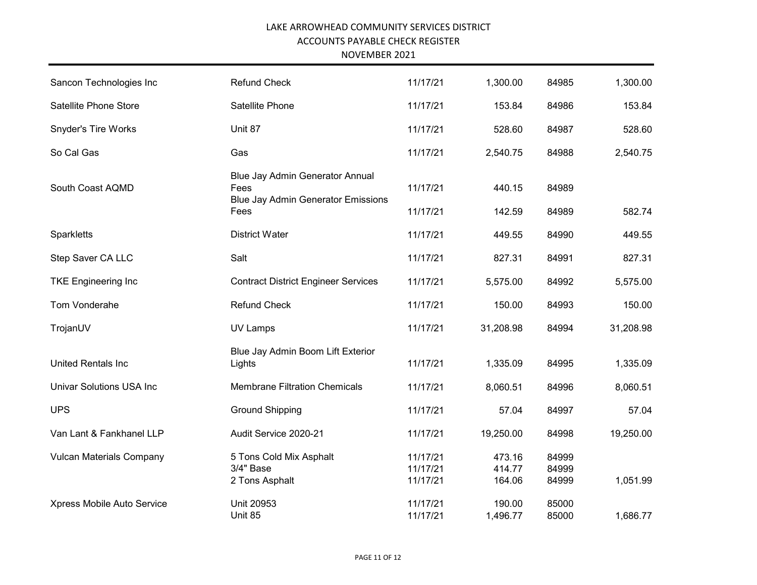| Sancon Technologies Inc         | <b>Refund Check</b>                                                                  | 11/17/21                         | 1,300.00                   | 84985                   | 1,300.00  |
|---------------------------------|--------------------------------------------------------------------------------------|----------------------------------|----------------------------|-------------------------|-----------|
| Satellite Phone Store           | Satellite Phone                                                                      | 11/17/21                         | 153.84                     | 84986                   | 153.84    |
| Snyder's Tire Works             | Unit 87                                                                              | 11/17/21                         | 528.60                     | 84987                   | 528.60    |
| So Cal Gas                      | Gas                                                                                  | 11/17/21                         | 2,540.75                   | 84988                   | 2,540.75  |
| South Coast AQMD                | Blue Jay Admin Generator Annual<br>Fees<br><b>Blue Jay Admin Generator Emissions</b> | 11/17/21                         | 440.15                     | 84989                   |           |
|                                 | Fees                                                                                 | 11/17/21                         | 142.59                     | 84989                   | 582.74    |
| Sparkletts                      | <b>District Water</b>                                                                | 11/17/21                         | 449.55                     | 84990                   | 449.55    |
| Step Saver CA LLC               | Salt                                                                                 | 11/17/21                         | 827.31                     | 84991                   | 827.31    |
| <b>TKE Engineering Inc</b>      | <b>Contract District Engineer Services</b>                                           | 11/17/21                         | 5,575.00                   | 84992                   | 5,575.00  |
| Tom Vonderahe                   | Refund Check                                                                         | 11/17/21                         | 150.00                     | 84993                   | 150.00    |
| TrojanUV                        | <b>UV Lamps</b>                                                                      | 11/17/21                         | 31,208.98                  | 84994                   | 31,208.98 |
| United Rentals Inc              | Blue Jay Admin Boom Lift Exterior<br>Lights                                          | 11/17/21                         | 1,335.09                   | 84995                   | 1,335.09  |
| <b>Univar Solutions USA Inc</b> | <b>Membrane Filtration Chemicals</b>                                                 | 11/17/21                         | 8,060.51                   | 84996                   | 8,060.51  |
| <b>UPS</b>                      | <b>Ground Shipping</b>                                                               | 11/17/21                         | 57.04                      | 84997                   | 57.04     |
| Van Lant & Fankhanel LLP        | Audit Service 2020-21                                                                | 11/17/21                         | 19,250.00                  | 84998                   | 19,250.00 |
| <b>Vulcan Materials Company</b> | 5 Tons Cold Mix Asphalt<br>3/4" Base<br>2 Tons Asphalt                               | 11/17/21<br>11/17/21<br>11/17/21 | 473.16<br>414.77<br>164.06 | 84999<br>84999<br>84999 | 1,051.99  |
| Xpress Mobile Auto Service      | Unit 20953<br>Unit 85                                                                | 11/17/21<br>11/17/21             | 190.00<br>1,496.77         | 85000<br>85000          | 1,686.77  |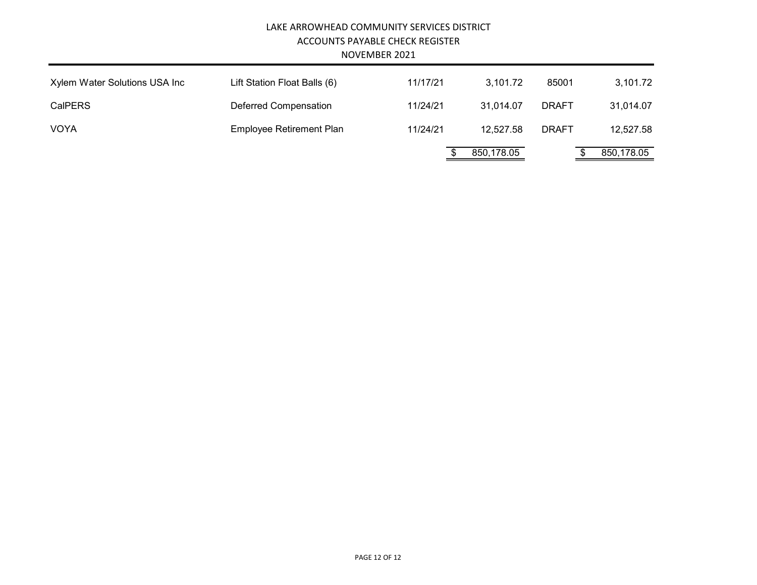|                               | LAKE ARROWHEAD COMMUNITY SERVICES DISTRICT | ACCOUNTS PAYABLE CHECK REGISTER<br>NOVEMBER 2021 |            |              |            |
|-------------------------------|--------------------------------------------|--------------------------------------------------|------------|--------------|------------|
| Xylem Water Solutions USA Inc | Lift Station Float Balls (6)               | 11/17/21                                         | 3.101.72   | 85001        | 3,101.72   |
| <b>CalPERS</b>                | Deferred Compensation                      | 11/24/21                                         | 31.014.07  | <b>DRAFT</b> | 31,014.07  |
| <b>VOYA</b>                   | <b>Employee Retirement Plan</b>            | 11/24/21                                         | 12,527.58  | <b>DRAFT</b> | 12,527.58  |
|                               |                                            |                                                  | 850,178.05 |              | 850,178.05 |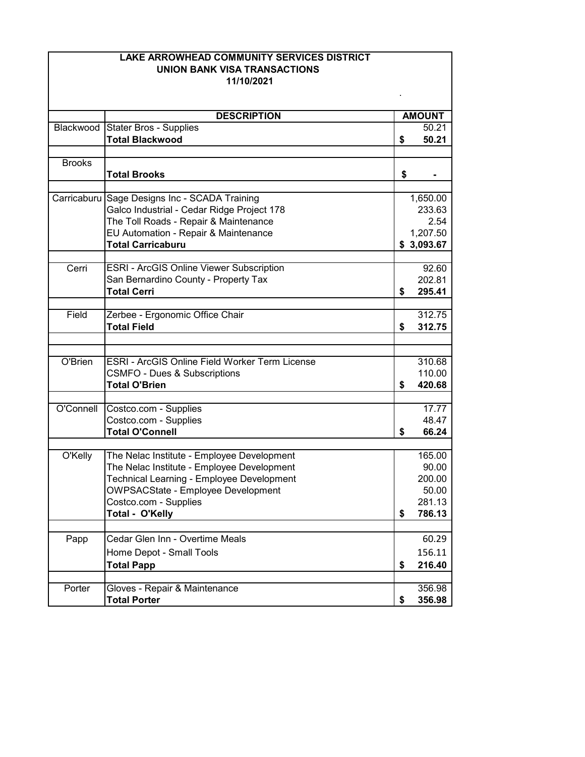|               | LAKE ARROWHEAD COMMUNITY SERVICES DISTRICT<br><b>UNION BANK VISA TRANSACTIONS</b>           |                    |
|---------------|---------------------------------------------------------------------------------------------|--------------------|
|               | 11/10/2021                                                                                  |                    |
|               | <b>DESCRIPTION</b>                                                                          | <b>AMOUNT</b>      |
| Blackwood     | <b>Stater Bros - Supplies</b>                                                               | 50.21              |
|               | <b>Total Blackwood</b>                                                                      | \$<br>50.21        |
|               |                                                                                             |                    |
| <b>Brooks</b> |                                                                                             |                    |
|               | <b>Total Brooks</b>                                                                         | \$                 |
|               |                                                                                             |                    |
|               | Carricaburu Sage Designs Inc - SCADA Training<br>Galco Industrial - Cedar Ridge Project 178 | 1,650.00<br>233.63 |
|               | The Toll Roads - Repair & Maintenance                                                       | 2.54               |
|               | EU Automation - Repair & Maintenance                                                        | 1,207.50           |
|               | <b>Total Carricaburu</b>                                                                    | \$3,093.67         |
|               |                                                                                             |                    |
| Cerri         | <b>ESRI - ArcGIS Online Viewer Subscription</b>                                             | 92.60              |
|               | San Bernardino County - Property Tax                                                        | 202.81             |
|               | <b>Total Cerri</b>                                                                          | \$<br>295.41       |
|               |                                                                                             |                    |
| Field         | Zerbee - Ergonomic Office Chair                                                             | 312.75             |
|               | <b>Total Field</b>                                                                          | \$<br>312.75       |
|               |                                                                                             |                    |
| O'Brien       | <b>ESRI - ArcGIS Online Field Worker Term License</b>                                       | 310.68             |
|               | <b>CSMFO - Dues &amp; Subscriptions</b>                                                     | 110.00             |
|               | <b>Total O'Brien</b>                                                                        | \$<br>420.68       |
|               |                                                                                             |                    |
| O'Connell     | Costco.com - Supplies                                                                       | 17.77              |
|               | Costco.com - Supplies                                                                       | 48.47              |
|               | <b>Total O'Connell</b>                                                                      | \$<br>66.24        |
| O'Kelly       | The Nelac Institute - Employee Development                                                  | 165.00             |
|               | The Nelac Institute - Employee Development                                                  | 90.00              |
|               | Technical Learning - Employee Development                                                   | 200.00             |
|               | <b>OWPSACState - Employee Development</b>                                                   | 50.00              |
|               | Costco.com - Supplies                                                                       | 281.13             |
|               | Total - O'Kelly                                                                             | \$<br>786.13       |
|               |                                                                                             |                    |
| Papp          | Cedar Glen Inn - Overtime Meals                                                             | 60.29              |
|               | Home Depot - Small Tools                                                                    | 156.11             |
|               | <b>Total Papp</b>                                                                           | \$<br>216.40       |
|               |                                                                                             |                    |
| Porter        | Gloves - Repair & Maintenance                                                               | 356.98             |
|               | <b>Total Porter</b>                                                                         | \$<br>356.98       |